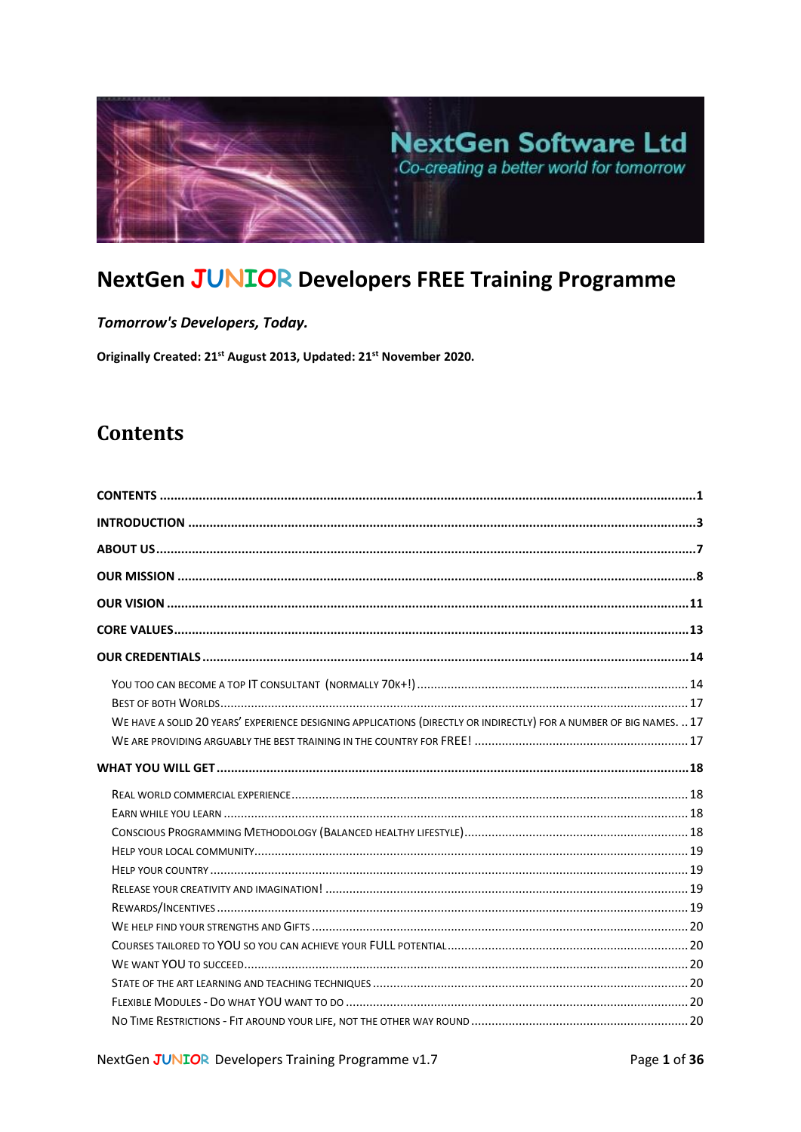

# **NextGen JUNIOR Developers FREE Training Programme**

Tomorrow's Developers, Today.

Originally Created: 21<sup>st</sup> August 2013, Updated: 21<sup>st</sup> November 2020.

# <span id="page-0-0"></span>**Contents**

| WE HAVE A SOLID 20 YEARS' EXPERIENCE DESIGNING APPLICATIONS (DIRECTLY OR INDIRECTLY) FOR A NUMBER OF BIG NAMES.  17 |  |
|---------------------------------------------------------------------------------------------------------------------|--|
|                                                                                                                     |  |
|                                                                                                                     |  |
|                                                                                                                     |  |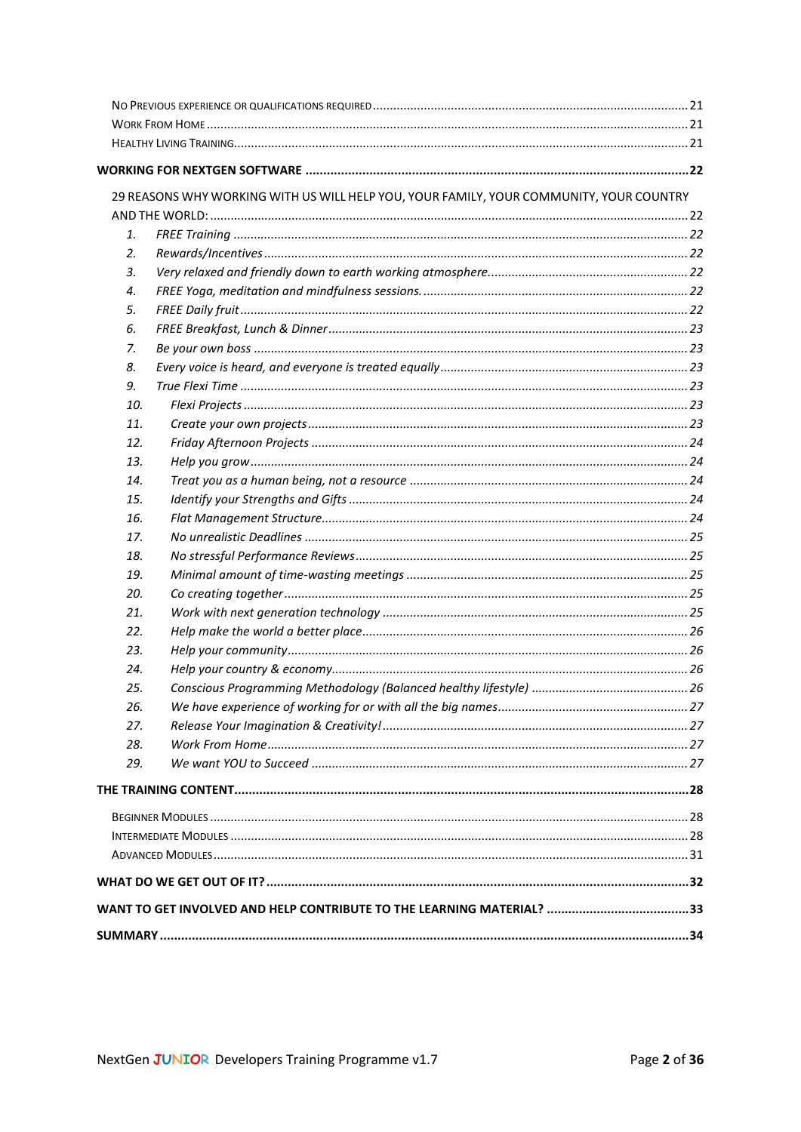|     | 29 REASONS WHY WORKING WITH US WILL HELP YOU, YOUR FAMILY, YOUR COMMUNITY, YOUR COUNTRY |  |
|-----|-----------------------------------------------------------------------------------------|--|
|     |                                                                                         |  |
| 1.  |                                                                                         |  |
| 2.  |                                                                                         |  |
| 3.  |                                                                                         |  |
| 4.  |                                                                                         |  |
| 5.  |                                                                                         |  |
| 6.  |                                                                                         |  |
| 7.  |                                                                                         |  |
| 8.  |                                                                                         |  |
| 9.  |                                                                                         |  |
| 10. |                                                                                         |  |
| 11. |                                                                                         |  |
| 12. |                                                                                         |  |
| 13. |                                                                                         |  |
| 14. |                                                                                         |  |
| 15. |                                                                                         |  |
| 16. |                                                                                         |  |
| 17. |                                                                                         |  |
| 18. |                                                                                         |  |
| 19. |                                                                                         |  |
| 20. |                                                                                         |  |
| 21. |                                                                                         |  |
| 22. |                                                                                         |  |
| 23. |                                                                                         |  |
| 24. |                                                                                         |  |
| 25. |                                                                                         |  |
| 26. |                                                                                         |  |
| 27. |                                                                                         |  |
| 28. |                                                                                         |  |
| 29. |                                                                                         |  |
|     |                                                                                         |  |
|     |                                                                                         |  |
|     |                                                                                         |  |
|     |                                                                                         |  |
|     |                                                                                         |  |
|     |                                                                                         |  |
|     |                                                                                         |  |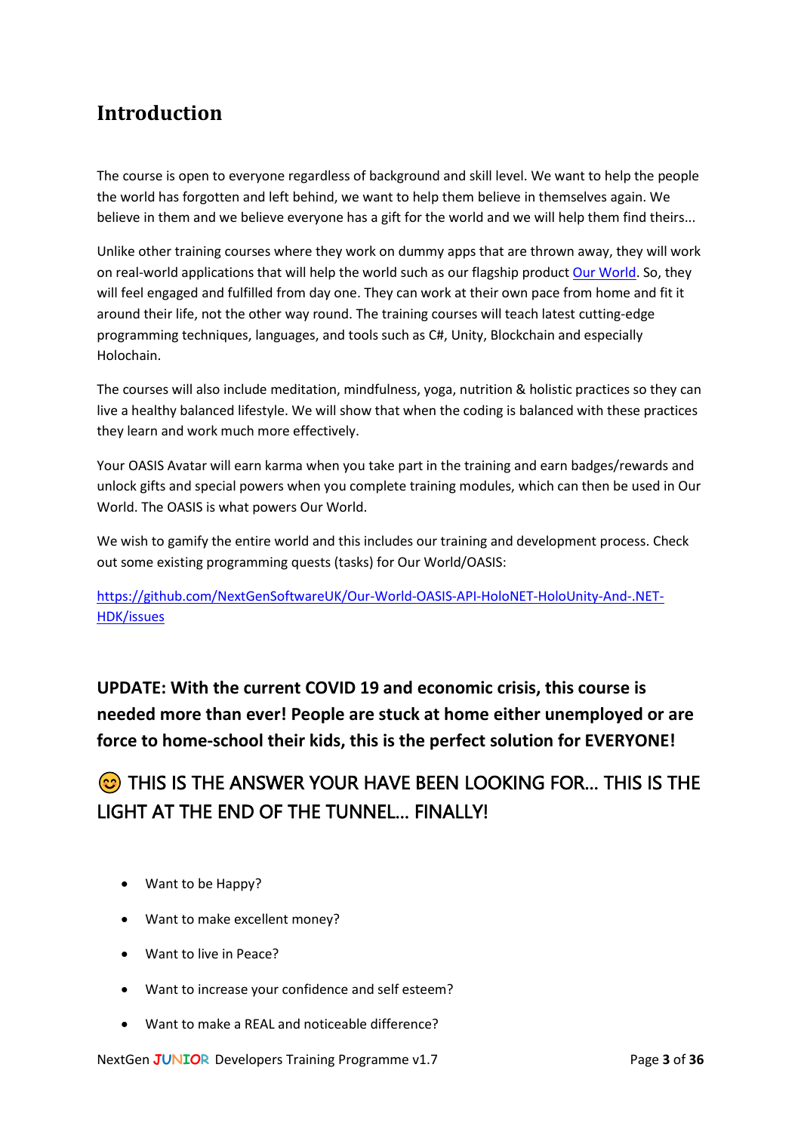# <span id="page-2-0"></span>**Introduction**

The course is open to everyone regardless of background and skill level. We want to help the people the world has forgotten and left behind, we want to help them believe in themselves again. We believe in them and we believe everyone has a gift for the world and we will help them find theirs...

Unlike other training courses where they work on dummy apps that are thrown away, they will work on real-world applications that will help the world such as our flagship product [Our World.](http://www.ourworldthegame.com/) So, they will feel engaged and fulfilled from day one. They can work at their own pace from home and fit it around their life, not the other way round. The training courses will teach latest cutting-edge programming techniques, languages, and tools such as C#, Unity, Blockchain and especially Holochain.

The courses will also include meditation, mindfulness, yoga, nutrition & holistic practices so they can live a healthy balanced lifestyle. We will show that when the coding is balanced with these practices they learn and work much more effectively.

Your OASIS Avatar will earn karma when you take part in the training and earn badges/rewards and unlock gifts and special powers when you complete training modules, which can then be used in Our World. The OASIS is what powers Our World.

We wish to gamify the entire world and this includes our training and development process. Check out some existing programming quests (tasks) for Our World/OASIS:

[https://github.com/NextGenSoftwareUK/Our-World-OASIS-API-HoloNET-HoloUnity-And-.NET-](https://github.com/NextGenSoftwareUK/Our-World-OASIS-API-HoloNET-HoloUnity-And-.NET-HDK/issues)[HDK/issues](https://github.com/NextGenSoftwareUK/Our-World-OASIS-API-HoloNET-HoloUnity-And-.NET-HDK/issues)

**UPDATE: With the current COVID 19 and economic crisis, this course is needed more than ever! People are stuck at home either unemployed or are force to home-school their kids, this is the perfect solution for EVERYONE!** 

# **C** THIS IS THE ANSWER YOUR HAVE BEEN LOOKING FOR... THIS IS THE LIGHT AT THE END OF THE TUNNEL… FINALLY!

- Want to be Happy?
- Want to make excellent money?
- Want to live in Peace?
- Want to increase your confidence and self esteem?
- Want to make a REAL and noticeable difference?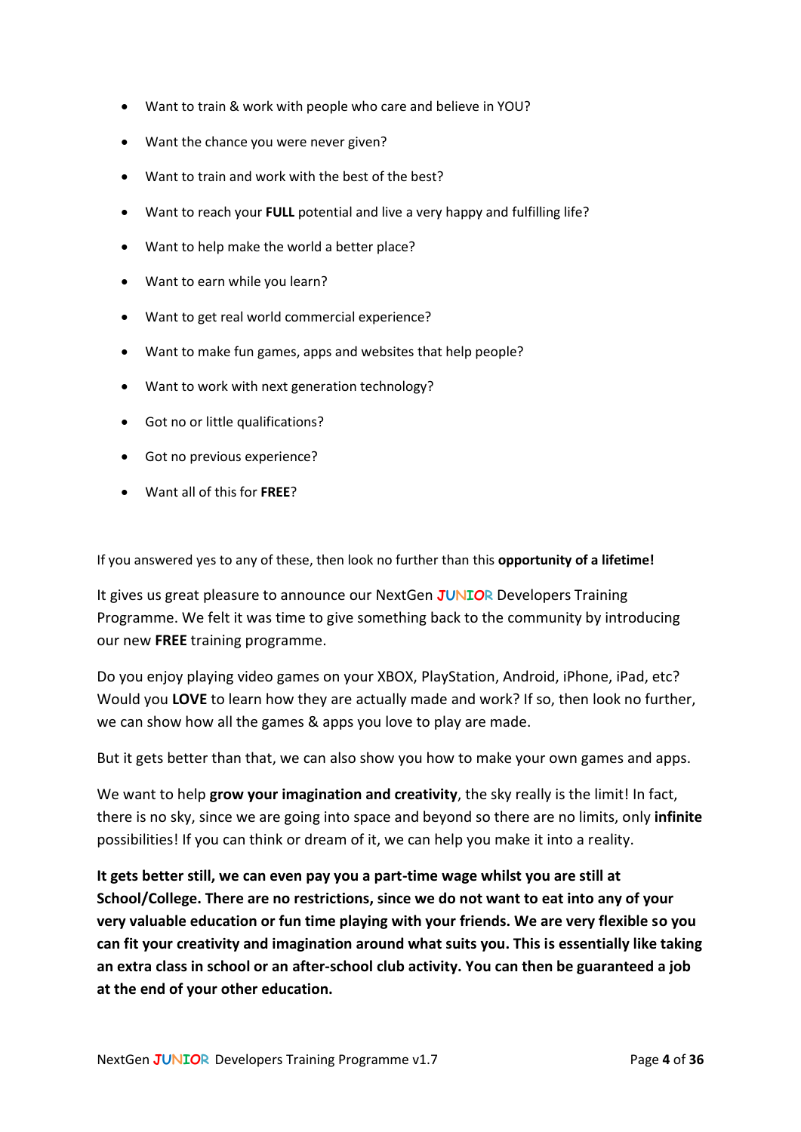- Want to train & work with people who care and believe in YOU?
- Want the chance you were never given?
- Want to train and work with the best of the best?
- Want to reach your **FULL** potential and live a very happy and fulfilling life?
- Want to help make the world a better place?
- Want to earn while you learn?
- Want to get real world commercial experience?
- Want to make fun games, apps and websites that help people?
- Want to work with next generation technology?
- Got no or little qualifications?
- Got no previous experience?
- Want all of this for **FREE**?

If you answered yes to any of these, then look no further than this **opportunity of a lifetime!**

It gives us great pleasure to announce our NextGen **JUNIOR** Developers Training Programme. We felt it was time to give something back to the community by introducing our new **FREE** training programme.

Do you enjoy playing video games on your XBOX, PlayStation, Android, iPhone, iPad, etc? Would you **LOVE** to learn how they are actually made and work? If so, then look no further, we can show how all the games & apps you love to play are made.

But it gets better than that, we can also show you how to make your own games and apps.

We want to help **grow your imagination and creativity**, the sky really is the limit! In fact, there is no sky, since we are going into space and beyond so there are no limits, only **infinite** possibilities! If you can think or dream of it, we can help you make it into a reality.

**It gets better still, we can even pay you a part-time wage whilst you are still at School/College. There are no restrictions, since we do not want to eat into any of your very valuable education or fun time playing with your friends. We are very flexible so you can fit your creativity and imagination around what suits you. This is essentially like taking an extra class in school or an after-school club activity. You can then be guaranteed a job at the end of your other education.**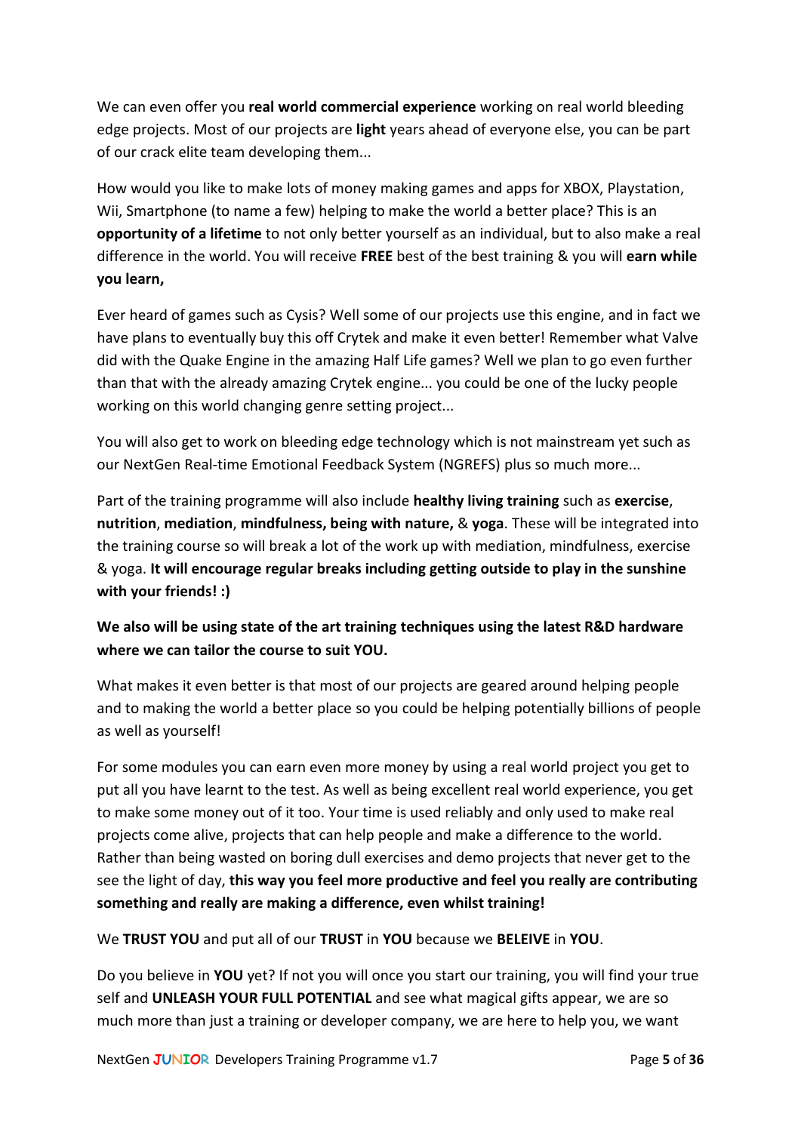We can even offer you **real world commercial experience** working on real world bleeding edge projects. Most of our projects are **light** years ahead of everyone else, you can be part of our crack elite team developing them...

How would you like to make lots of money making games and apps for XBOX, Playstation, Wii, Smartphone (to name a few) helping to make the world a better place? This is an **opportunity of a lifetime** to not only better yourself as an individual, but to also make a real difference in the world. You will receive **FREE** best of the best training & you will **earn while you learn,**

Ever heard of games such as Cysis? Well some of our projects use this engine, and in fact we have plans to eventually buy this off Crytek and make it even better! Remember what Valve did with the Quake Engine in the amazing Half Life games? Well we plan to go even further than that with the already amazing Crytek engine... you could be one of the lucky people working on this world changing genre setting project...

You will also get to work on bleeding edge technology which is not mainstream yet such as our NextGen Real-time Emotional Feedback System (NGREFS) plus so much more...

Part of the training programme will also include **healthy living training** such as **exercise**, **nutrition**, **mediation**, **mindfulness, being with nature,** & **yoga**. These will be integrated into the training course so will break a lot of the work up with mediation, mindfulness, exercise & yoga. **It will encourage regular breaks including getting outside to play in the sunshine with your friends! :)**

## **We also will be using state of the art training techniques using the latest R&D hardware where we can tailor the course to suit YOU.**

What makes it even better is that most of our projects are geared around helping people and to making the world a better place so you could be helping potentially billions of people as well as yourself!

For some modules you can earn even more money by using a real world project you get to put all you have learnt to the test. As well as being excellent real world experience, you get to make some money out of it too. Your time is used reliably and only used to make real projects come alive, projects that can help people and make a difference to the world. Rather than being wasted on boring dull exercises and demo projects that never get to the see the light of day, **this way you feel more productive and feel you really are contributing something and really are making a difference, even whilst training!**

We **TRUST YOU** and put all of our **TRUST** in **YOU** because we **BELEIVE** in **YOU**.

Do you believe in **YOU** yet? If not you will once you start our training, you will find your true self and **UNLEASH YOUR FULL POTENTIAL** and see what magical gifts appear, we are so much more than just a training or developer company, we are here to help you, we want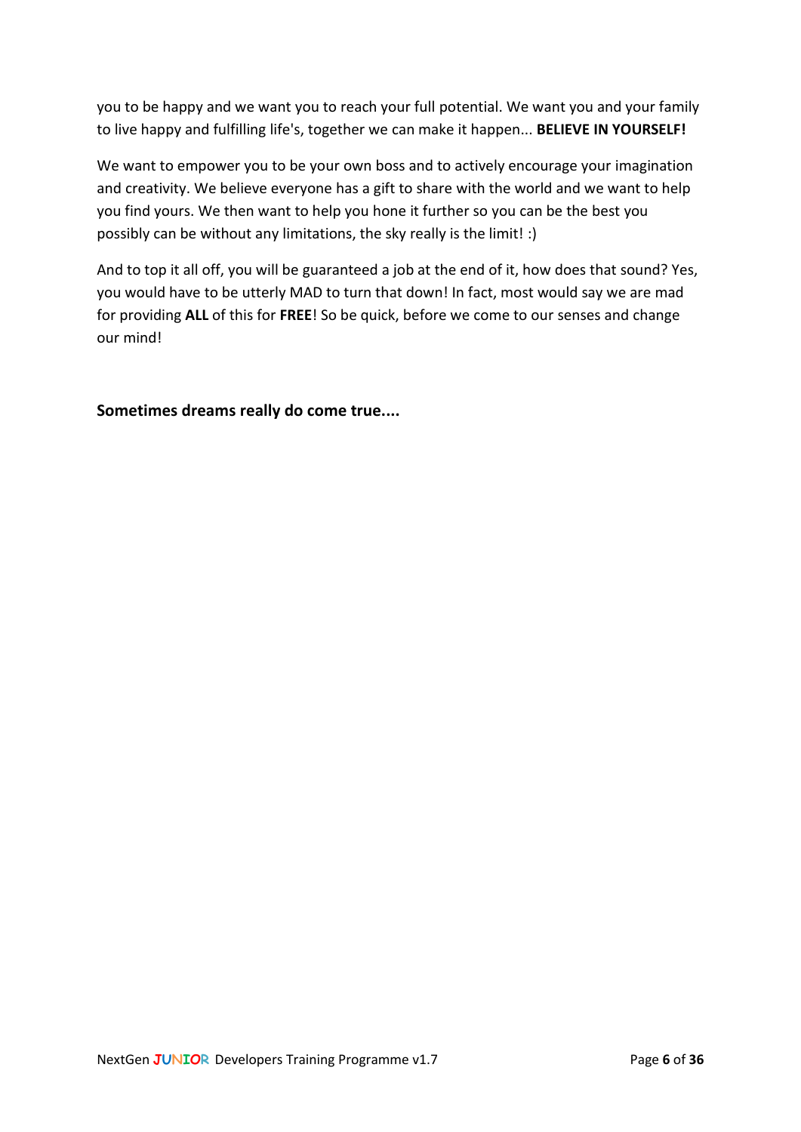you to be happy and we want you to reach your full potential. We want you and your family to live happy and fulfilling life's, together we can make it happen... **BELIEVE IN YOURSELF!**

We want to empower you to be your own boss and to actively encourage your imagination and creativity. We believe everyone has a gift to share with the world and we want to help you find yours. We then want to help you hone it further so you can be the best you possibly can be without any limitations, the sky really is the limit! :)

And to top it all off, you will be guaranteed a job at the end of it, how does that sound? Yes, you would have to be utterly MAD to turn that down! In fact, most would say we are mad for providing **ALL** of this for **FREE**! So be quick, before we come to our senses and change our mind!

**Sometimes dreams really do come true....**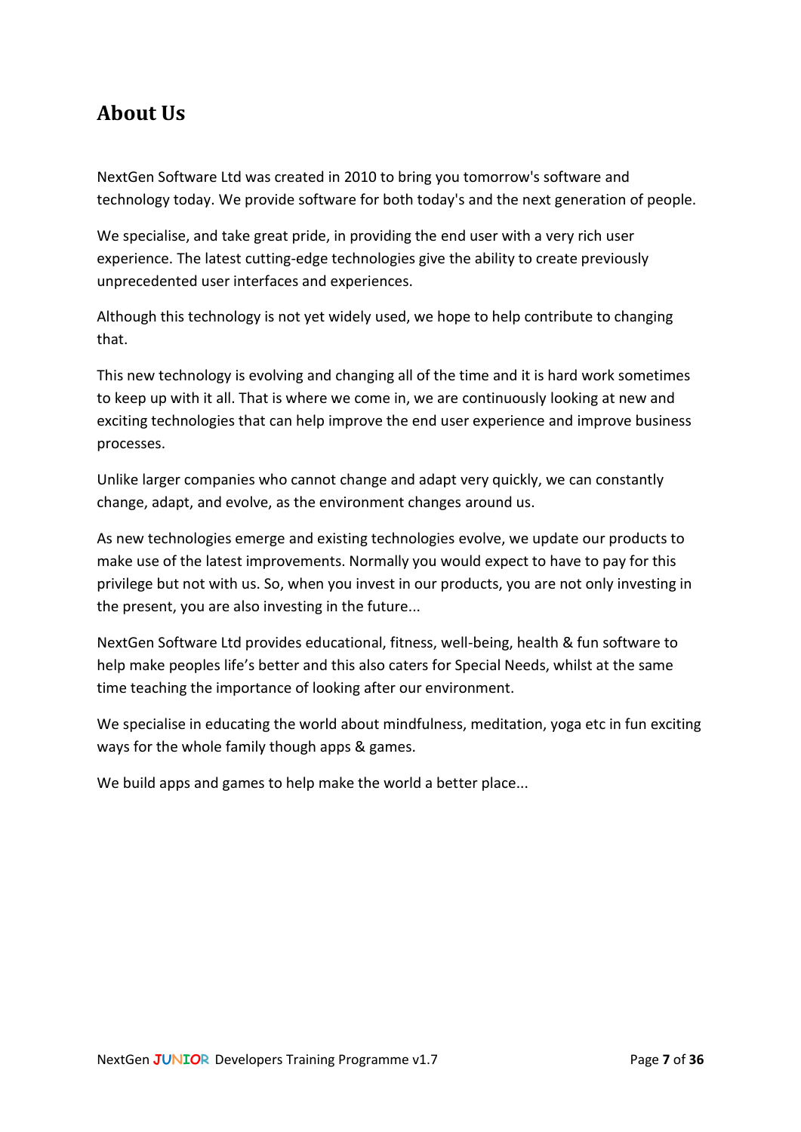## <span id="page-6-0"></span>**About Us**

NextGen Software Ltd was created in 2010 to bring you tomorrow's software and technology today. We provide software for both today's and the next generation of people.

We specialise, and take great pride, in providing the end user with a very rich user experience. The latest cutting-edge technologies give the ability to create previously unprecedented user interfaces and experiences.

Although this technology is not yet widely used, we hope to help contribute to changing that.

This new technology is evolving and changing all of the time and it is hard work sometimes to keep up with it all. That is where we come in, we are continuously looking at new and exciting technologies that can help improve the end user experience and improve business processes.

Unlike larger companies who cannot change and adapt very quickly, we can constantly change, adapt, and evolve, as the environment changes around us.

As new technologies emerge and existing technologies evolve, we update our products to make use of the latest improvements. Normally you would expect to have to pay for this privilege but not with us. So, when you invest in our products, you are not only investing in the present, you are also investing in the future...

NextGen Software Ltd provides educational, fitness, well-being, health & fun software to help make peoples life's better and this also caters for Special Needs, whilst at the same time teaching the importance of looking after our environment.

We specialise in educating the world about mindfulness, meditation, yoga etc in fun exciting ways for the whole family though apps & games.

We build apps and games to help make the world a better place...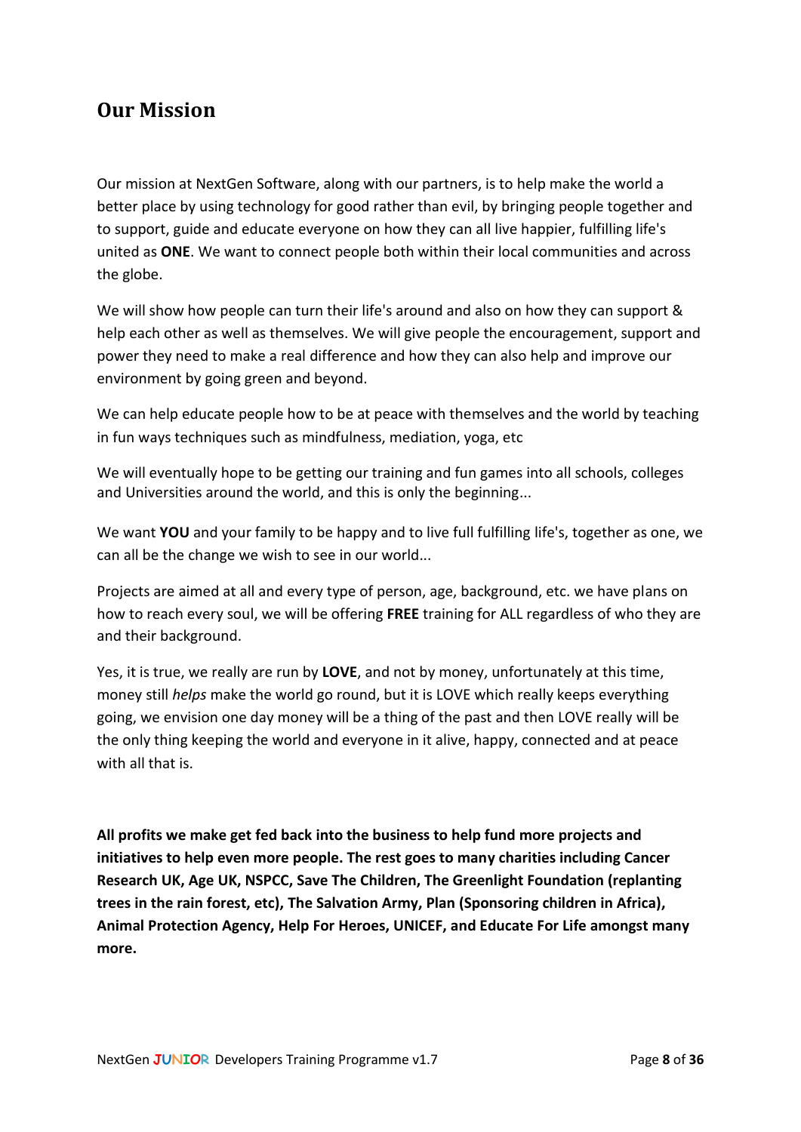## <span id="page-7-0"></span>**Our Mission**

Our mission at NextGen Software, along with our partners, is to help make the world a better place by using technology for good rather than evil, by bringing people together and to support, guide and educate everyone on how they can all live happier, fulfilling life's united as **ONE**. We want to connect people both within their local communities and across the globe.

We will show how people can turn their life's around and also on how they can support & help each other as well as themselves. We will give people the encouragement, support and power they need to make a real difference and how they can also help and improve our environment by going green and beyond.

We can help educate people how to be at peace with themselves and the world by teaching in fun ways techniques such as mindfulness, mediation, yoga, etc

We will eventually hope to be getting our training and fun games into all schools, colleges and Universities around the world, and this is only the beginning...

We want **YOU** and your family to be happy and to live full fulfilling life's, together as one, we can all be the change we wish to see in our world...

Projects are aimed at all and every type of person, age, background, etc. we have plans on how to reach every soul, we will be offering **FREE** training for ALL regardless of who they are and their background.

Yes, it is true, we really are run by **LOVE**, and not by money, unfortunately at this time, money still *helps* make the world go round, but it is LOVE which really keeps everything going, we envision one day money will be a thing of the past and then LOVE really will be the only thing keeping the world and everyone in it alive, happy, connected and at peace with all that is.

**All profits we make get fed back into the business to help fund more projects and initiatives to help even more people. The rest goes to many charities including Cancer Research UK, Age UK, NSPCC, Save The Children, The Greenlight Foundation (replanting trees in the rain forest, etc), The Salvation Army, Plan (Sponsoring children in Africa), Animal Protection Agency, Help For Heroes, UNICEF, and Educate For Life amongst many more.**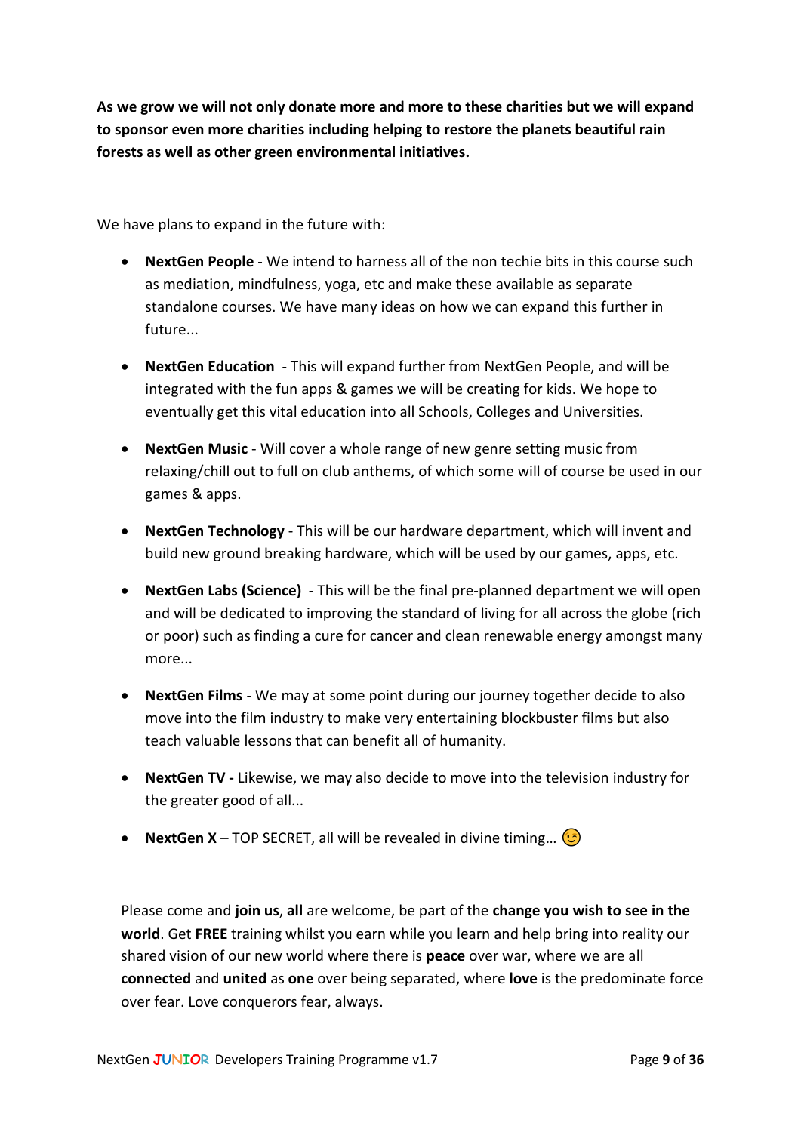**As we grow we will not only donate more and more to these charities but we will expand to sponsor even more charities including helping to restore the planets beautiful rain forests as well as other green environmental initiatives.**

We have plans to expand in the future with:

- **NextGen People** We intend to harness all of the non techie bits in this course such as mediation, mindfulness, yoga, etc and make these available as separate standalone courses. We have many ideas on how we can expand this further in future...
- **NextGen Education** This will expand further from NextGen People, and will be integrated with the fun apps & games we will be creating for kids. We hope to eventually get this vital education into all Schools, Colleges and Universities.
- **NextGen Music** Will cover a whole range of new genre setting music from relaxing/chill out to full on club anthems, of which some will of course be used in our games & apps.
- **NextGen Technology** This will be our hardware department, which will invent and build new ground breaking hardware, which will be used by our games, apps, etc.
- **NextGen Labs (Science)** This will be the final pre-planned department we will open and will be dedicated to improving the standard of living for all across the globe (rich or poor) such as finding a cure for cancer and clean renewable energy amongst many more
- **NextGen Films** We may at some point during our journey together decide to also move into the film industry to make very entertaining blockbuster films but also teach valuable lessons that can benefit all of humanity.
- **NextGen TV -** Likewise, we may also decide to move into the television industry for the greater good of all...
- **NextGen X** TOP SECRET, all will be revealed in divine timing...  $\circled{5}$

Please come and **join us**, **all** are welcome, be part of the **change you wish to see in the world**. Get **FREE** training whilst you earn while you learn and help bring into reality our shared vision of our new world where there is **peace** over war, where we are all **connected** and **united** as **one** over being separated, where **love** is the predominate force over fear. Love conquerors fear, always.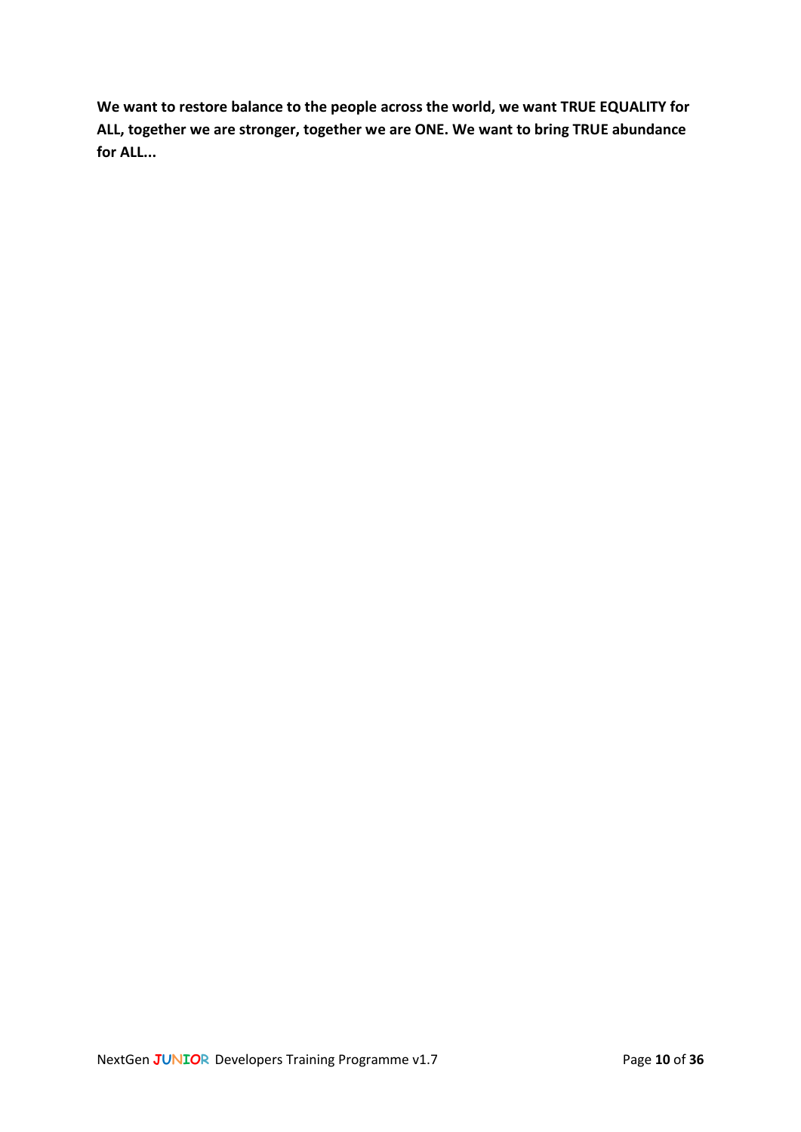**We want to restore balance to the people across the world, we want TRUE EQUALITY for ALL, together we are stronger, together we are ONE. We want to bring TRUE abundance for ALL...**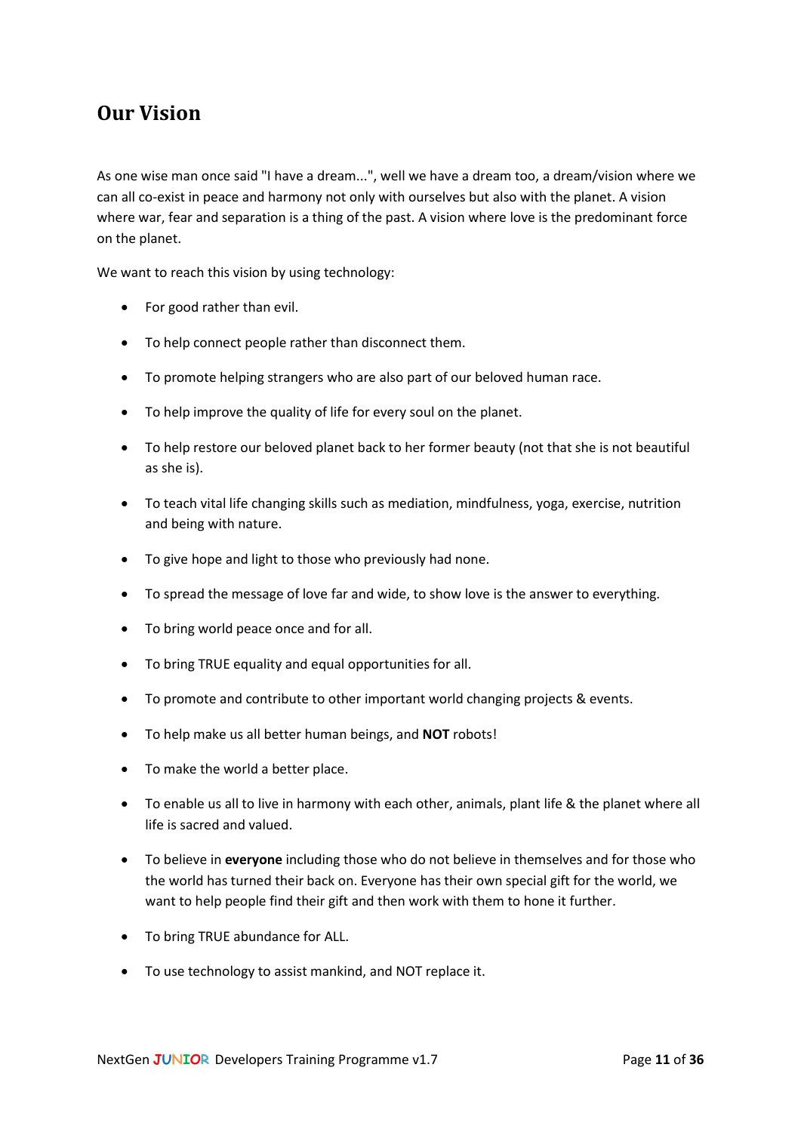## <span id="page-10-0"></span>**Our Vision**

As one wise man once said "I have a dream...", well we have a dream too, a dream/vision where we can all co-exist in peace and harmony not only with ourselves but also with the planet. A vision where war, fear and separation is a thing of the past. A vision where love is the predominant force on the planet.

We want to reach this vision by using technology:

- For good rather than evil.
- To help connect people rather than disconnect them.
- To promote helping strangers who are also part of our beloved human race.
- To help improve the quality of life for every soul on the planet.
- To help restore our beloved planet back to her former beauty (not that she is not beautiful as she is).
- To teach vital life changing skills such as mediation, mindfulness, yoga, exercise, nutrition and being with nature.
- To give hope and light to those who previously had none.
- To spread the message of love far and wide, to show love is the answer to everything.
- To bring world peace once and for all.
- To bring TRUE equality and equal opportunities for all.
- To promote and contribute to other important world changing projects & events.
- To help make us all better human beings, and **NOT** robots!
- To make the world a better place.
- To enable us all to live in harmony with each other, animals, plant life & the planet where all life is sacred and valued.
- To believe in **everyone** including those who do not believe in themselves and for those who the world has turned their back on. Everyone has their own special gift for the world, we want to help people find their gift and then work with them to hone it further.
- To bring TRUE abundance for ALL.
- To use technology to assist mankind, and NOT replace it.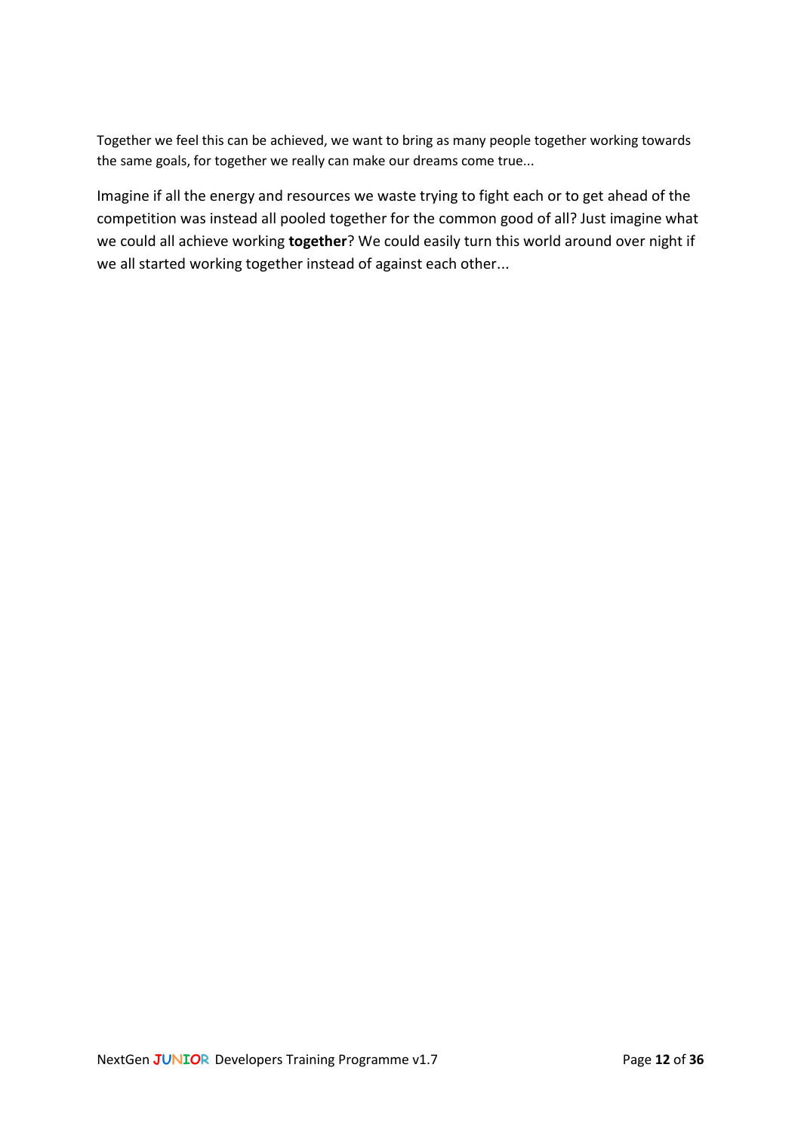Together we feel this can be achieved, we want to bring as many people together working towards the same goals, for together we really can make our dreams come true...

Imagine if all the energy and resources we waste trying to fight each or to get ahead of the competition was instead all pooled together for the common good of all? Just imagine what we could all achieve working **together**? We could easily turn this world around over night if we all started working together instead of against each other...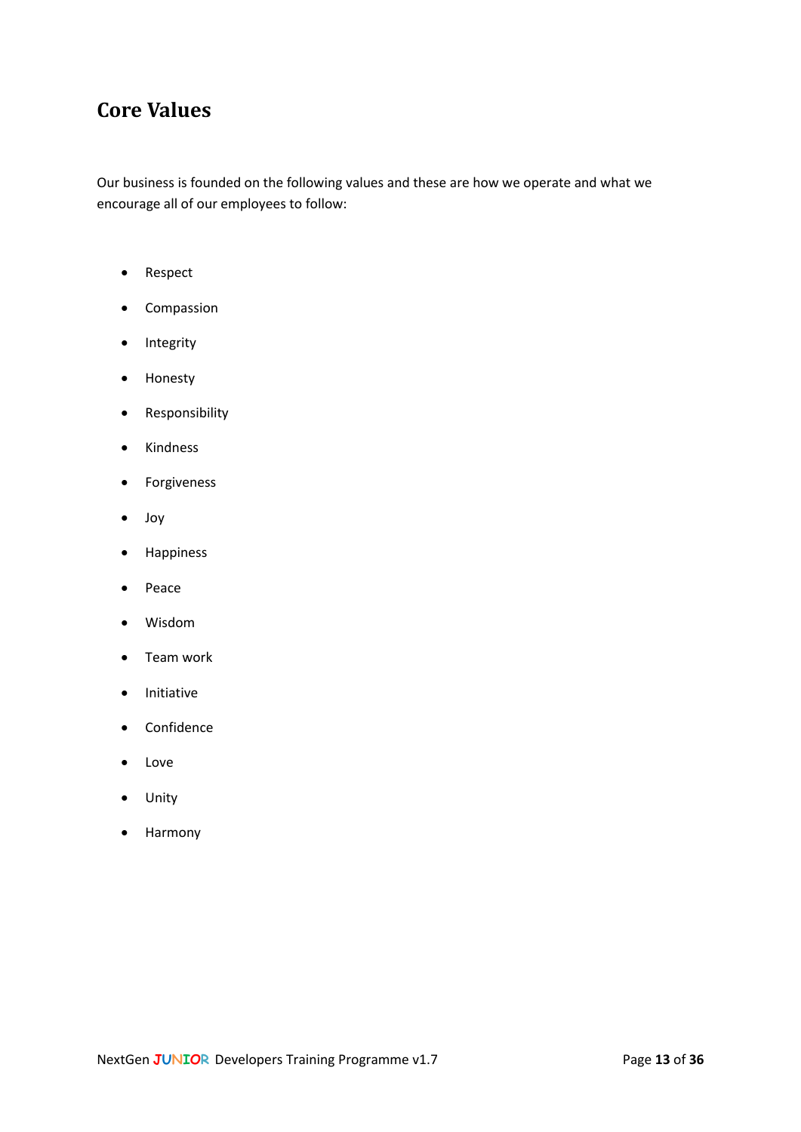## <span id="page-12-0"></span>**Core Values**

Our business is founded on the following values and these are how we operate and what we encourage all of our employees to follow:

- Respect
- Compassion
- Integrity
- Honesty
- Responsibility
- Kindness
- Forgiveness
- Joy
- Happiness
- Peace
- Wisdom
- Team work
- Initiative
- Confidence
- Love
- Unity
- Harmony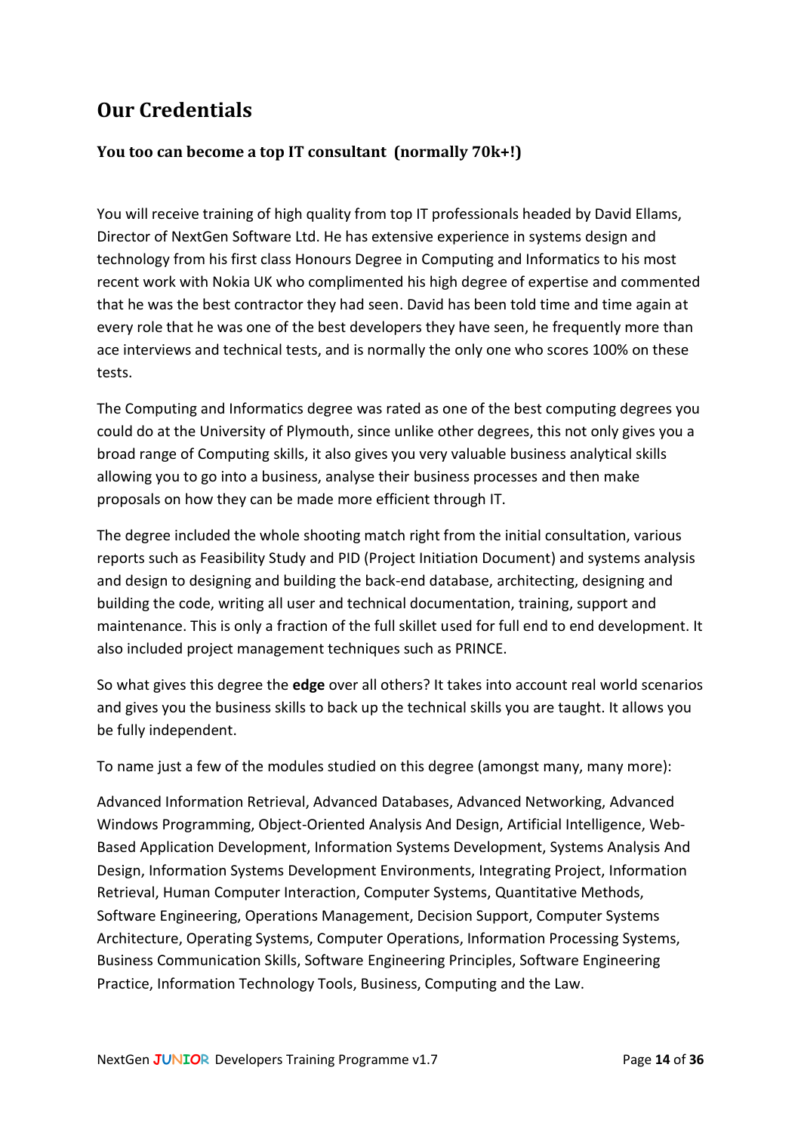## <span id="page-13-0"></span>**Our Credentials**

## <span id="page-13-1"></span>**You too can become a top IT consultant (normally 70k+!)**

You will receive training of high quality from top IT professionals headed by David Ellams, Director of NextGen Software Ltd. He has extensive experience in systems design and technology from his first class Honours Degree in Computing and Informatics to his most recent work with Nokia UK who complimented his high degree of expertise and commented that he was the best contractor they had seen. David has been told time and time again at every role that he was one of the best developers they have seen, he frequently more than ace interviews and technical tests, and is normally the only one who scores 100% on these tests.

The Computing and Informatics degree was rated as one of the best computing degrees you could do at the University of Plymouth, since unlike other degrees, this not only gives you a broad range of Computing skills, it also gives you very valuable business analytical skills allowing you to go into a business, analyse their business processes and then make proposals on how they can be made more efficient through IT.

The degree included the whole shooting match right from the initial consultation, various reports such as Feasibility Study and PID (Project Initiation Document) and systems analysis and design to designing and building the back-end database, architecting, designing and building the code, writing all user and technical documentation, training, support and maintenance. This is only a fraction of the full skillet used for full end to end development. It also included project management techniques such as PRINCE.

So what gives this degree the **edge** over all others? It takes into account real world scenarios and gives you the business skills to back up the technical skills you are taught. It allows you be fully independent.

To name just a few of the modules studied on this degree (amongst many, many more):

Advanced Information Retrieval, Advanced Databases, Advanced Networking, Advanced Windows Programming, Object-Oriented Analysis And Design, Artificial Intelligence, Web-Based Application Development, Information Systems Development, Systems Analysis And Design, Information Systems Development Environments, Integrating Project, Information Retrieval, Human Computer Interaction, Computer Systems, Quantitative Methods, Software Engineering, Operations Management, Decision Support, Computer Systems Architecture, Operating Systems, Computer Operations, Information Processing Systems, Business Communication Skills, Software Engineering Principles, Software Engineering Practice, Information Technology Tools, Business, Computing and the Law.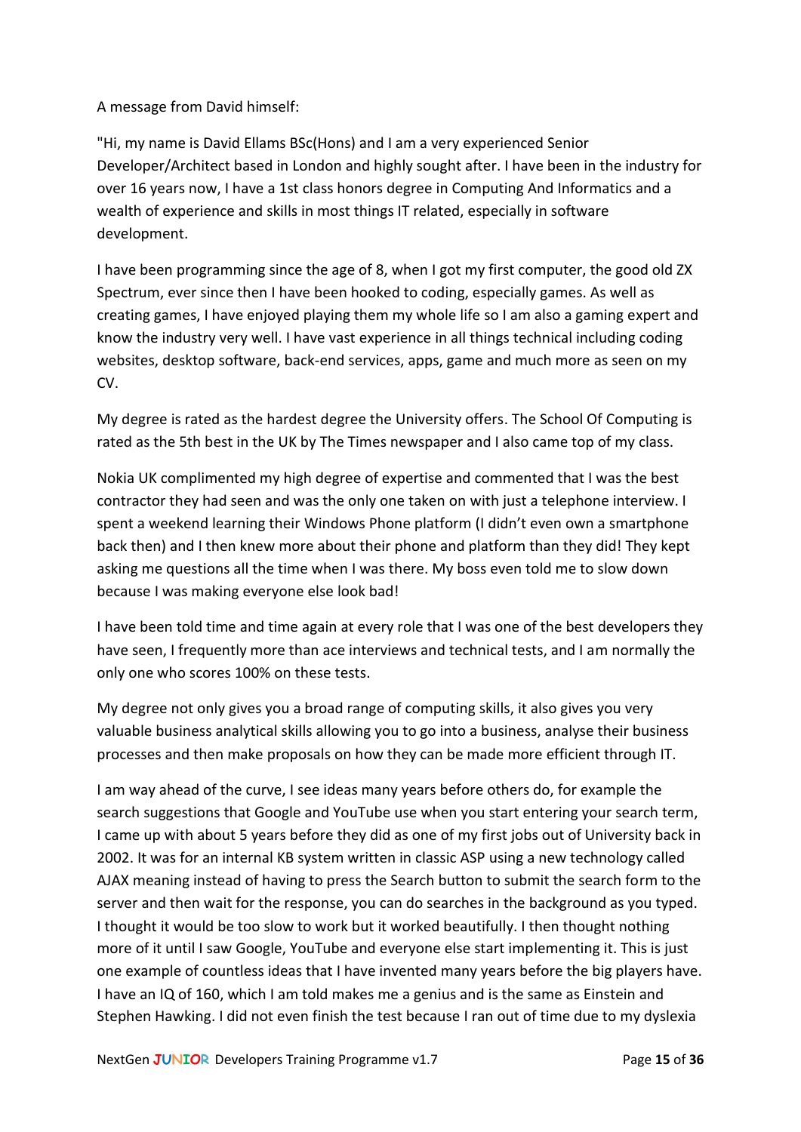#### A message from David himself:

"Hi, my name is David Ellams BSc(Hons) and I am a very experienced Senior Developer/Architect based in London and highly sought after. I have been in the industry for over 16 years now, I have a 1st class honors degree in Computing And Informatics and a wealth of experience and skills in most things IT related, especially in software development.

I have been programming since the age of 8, when I got my first computer, the good old ZX Spectrum, ever since then I have been hooked to coding, especially games. As well as creating games, I have enjoyed playing them my whole life so I am also a gaming expert and know the industry very well. I have vast experience in all things technical including coding websites, desktop software, back-end services, apps, game and much more as seen on my CV.

My degree is rated as the hardest degree the University offers. The School Of Computing is rated as the 5th best in the UK by The Times newspaper and I also came top of my class.

Nokia UK complimented my high degree of expertise and commented that I was the best contractor they had seen and was the only one taken on with just a telephone interview. I spent a weekend learning their Windows Phone platform (I didn't even own a smartphone back then) and I then knew more about their phone and platform than they did! They kept asking me questions all the time when I was there. My boss even told me to slow down because I was making everyone else look bad!

I have been told time and time again at every role that I was one of the best developers they have seen, I frequently more than ace interviews and technical tests, and I am normally the only one who scores 100% on these tests.

My degree not only gives you a broad range of computing skills, it also gives you very valuable business analytical skills allowing you to go into a business, analyse their business processes and then make proposals on how they can be made more efficient through IT.

I am way ahead of the curve, I see ideas many years before others do, for example the search suggestions that Google and YouTube use when you start entering your search term, I came up with about 5 years before they did as one of my first jobs out of University back in 2002. It was for an internal KB system written in classic ASP using a new technology called AJAX meaning instead of having to press the Search button to submit the search form to the server and then wait for the response, you can do searches in the background as you typed. I thought it would be too slow to work but it worked beautifully. I then thought nothing more of it until I saw Google, YouTube and everyone else start implementing it. This is just one example of countless ideas that I have invented many years before the big players have. I have an IQ of 160, which I am told makes me a genius and is the same as Einstein and Stephen Hawking. I did not even finish the test because I ran out of time due to my dyslexia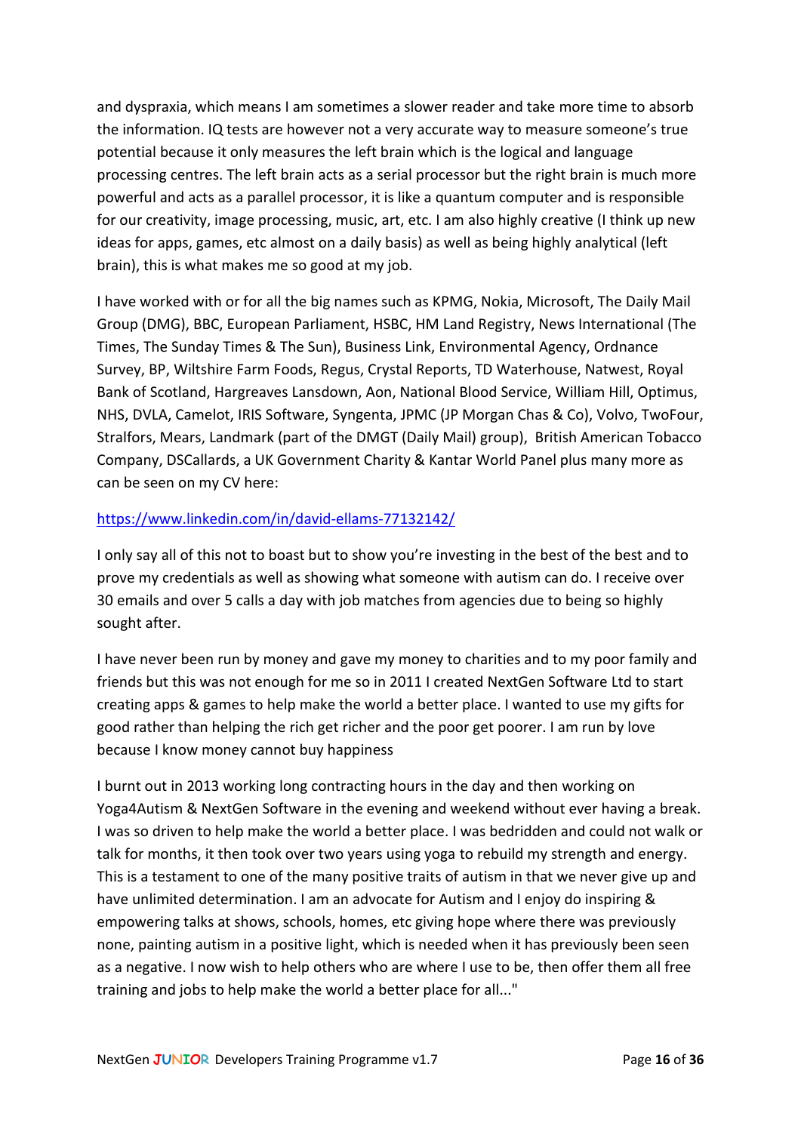and dyspraxia, which means I am sometimes a slower reader and take more time to absorb the information. IQ tests are however not a very accurate way to measure someone's true potential because it only measures the left brain which is the logical and language processing centres. The left brain acts as a serial processor but the right brain is much more powerful and acts as a parallel processor, it is like a quantum computer and is responsible for our creativity, image processing, music, art, etc. I am also highly creative (I think up new ideas for apps, games, etc almost on a daily basis) as well as being highly analytical (left brain), this is what makes me so good at my job.

I have worked with or for all the big names such as KPMG, Nokia, Microsoft, The Daily Mail Group (DMG), BBC, European Parliament, HSBC, HM Land Registry, News International (The Times, The Sunday Times & The Sun), Business Link, Environmental Agency, Ordnance Survey, BP, Wiltshire Farm Foods, Regus, Crystal Reports, TD Waterhouse, Natwest, Royal Bank of Scotland, Hargreaves Lansdown, Aon, National Blood Service, William Hill, Optimus, NHS, DVLA, Camelot, IRIS Software, Syngenta, JPMC (JP Morgan Chas & Co), Volvo, TwoFour, Stralfors, Mears, Landmark (part of the DMGT (Daily Mail) group), British American Tobacco Company, DSCallards, a UK Government Charity & Kantar World Panel plus many more as can be seen on my CV here:

#### <https://www.linkedin.com/in/david-ellams-77132142/>

I only say all of this not to boast but to show you're investing in the best of the best and to prove my credentials as well as showing what someone with autism can do. I receive over 30 emails and over 5 calls a day with job matches from agencies due to being so highly sought after.

I have never been run by money and gave my money to charities and to my poor family and friends but this was not enough for me so in 2011 I created NextGen Software Ltd to start creating apps & games to help make the world a better place. I wanted to use my gifts for good rather than helping the rich get richer and the poor get poorer. I am run by love because I know money cannot buy happiness

I burnt out in 2013 working long contracting hours in the day and then working on Yoga4Autism & NextGen Software in the evening and weekend without ever having a break. I was so driven to help make the world a better place. I was bedridden and could not walk or talk for months, it then took over two years using yoga to rebuild my strength and energy. This is a testament to one of the many positive traits of autism in that we never give up and have unlimited determination. I am an advocate for Autism and I enjoy do inspiring & empowering talks at shows, schools, homes, etc giving hope where there was previously none, painting autism in a positive light, which is needed when it has previously been seen as a negative. I now wish to help others who are where I use to be, then offer them all free training and jobs to help make the world a better place for all..."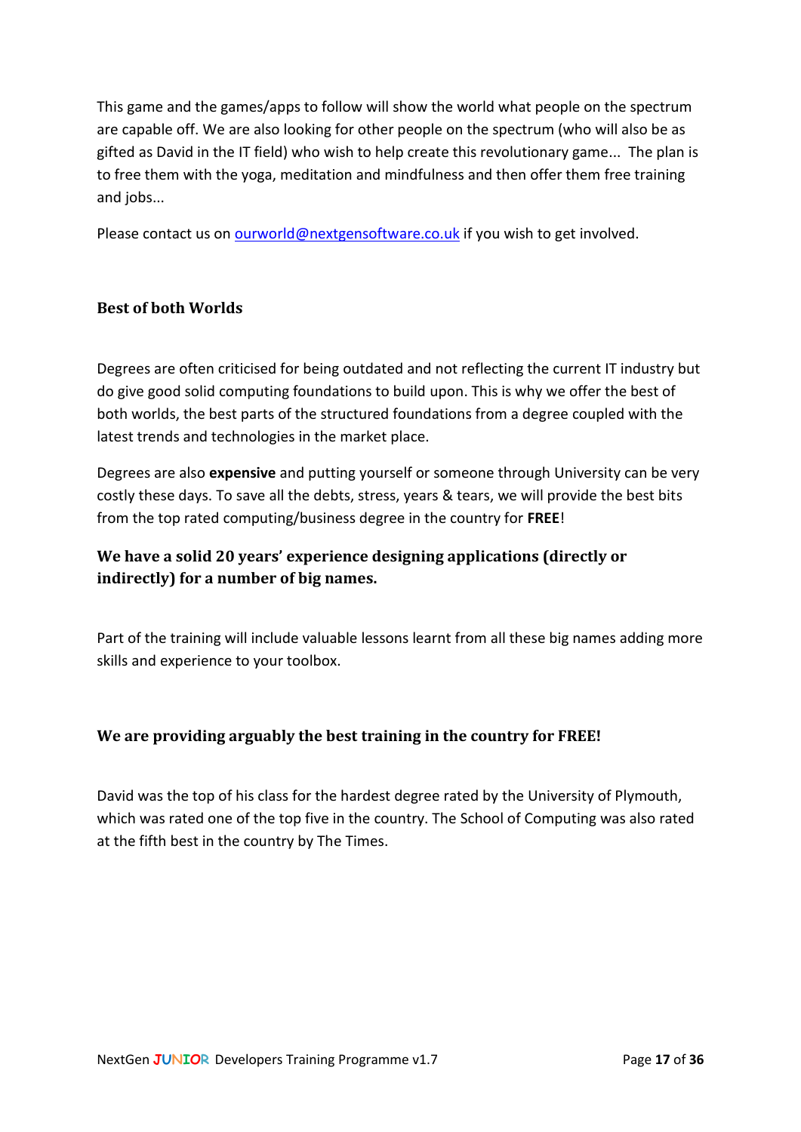This game and the games/apps to follow will show the world what people on the spectrum are capable off. We are also looking for other people on the spectrum (who will also be as gifted as David in the IT field) who wish to help create this revolutionary game... The plan is to free them with the yoga, meditation and mindfulness and then offer them free training and jobs...

Please contact us on [ourworld@nextgensoftware.co.uk](mailto:ourworld@nextgensoftware.co.uk) if you wish to get involved.

## <span id="page-16-0"></span>**Best of both Worlds**

Degrees are often criticised for being outdated and not reflecting the current IT industry but do give good solid computing foundations to build upon. This is why we offer the best of both worlds, the best parts of the structured foundations from a degree coupled with the latest trends and technologies in the market place.

Degrees are also **expensive** and putting yourself or someone through University can be very costly these days. To save all the debts, stress, years & tears, we will provide the best bits from the top rated computing/business degree in the country for **FREE**!

## <span id="page-16-1"></span>**We have a solid 20 years' experience designing applications (directly or indirectly) for a number of big names.**

Part of the training will include valuable lessons learnt from all these big names adding more skills and experience to your toolbox.

#### <span id="page-16-2"></span>**We are providing arguably the best training in the country for FREE!**

David was the top of his class for the hardest degree rated by the University of Plymouth, which was rated one of the top five in the country. The School of Computing was also rated at the fifth best in the country by The Times.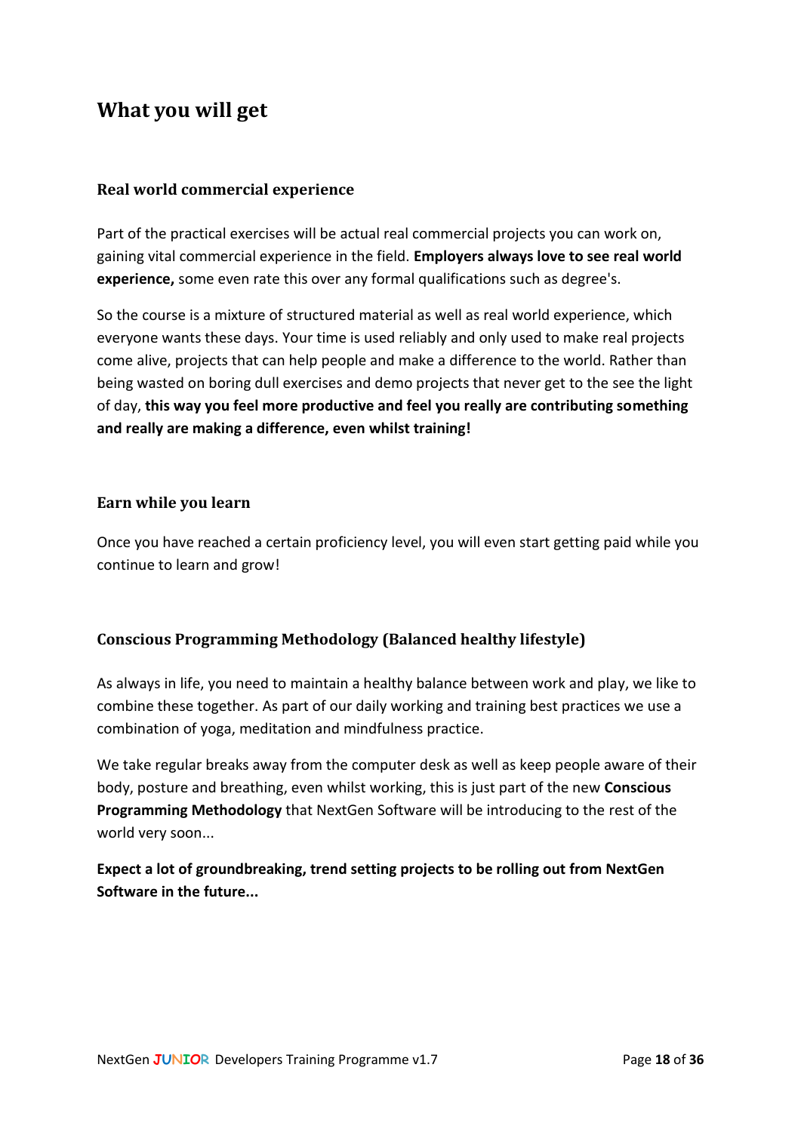## <span id="page-17-0"></span>**What you will get**

#### <span id="page-17-1"></span>**Real world commercial experience**

Part of the practical exercises will be actual real commercial projects you can work on, gaining vital commercial experience in the field. **Employers always love to see real world experience,** some even rate this over any formal qualifications such as degree's.

So the course is a mixture of structured material as well as real world experience, which everyone wants these days. Your time is used reliably and only used to make real projects come alive, projects that can help people and make a difference to the world. Rather than being wasted on boring dull exercises and demo projects that never get to the see the light of day, **this way you feel more productive and feel you really are contributing something and really are making a difference, even whilst training!**

#### <span id="page-17-2"></span>**Earn while you learn**

Once you have reached a certain proficiency level, you will even start getting paid while you continue to learn and grow!

#### <span id="page-17-3"></span>**Conscious Programming Methodology (Balanced healthy lifestyle)**

As always in life, you need to maintain a healthy balance between work and play, we like to combine these together. As part of our daily working and training best practices we use a combination of yoga, meditation and mindfulness practice.

We take regular breaks away from the computer desk as well as keep people aware of their body, posture and breathing, even whilst working, this is just part of the new **Conscious Programming Methodology** that NextGen Software will be introducing to the rest of the world very soon...

**Expect a lot of groundbreaking, trend setting projects to be rolling out from NextGen Software in the future...**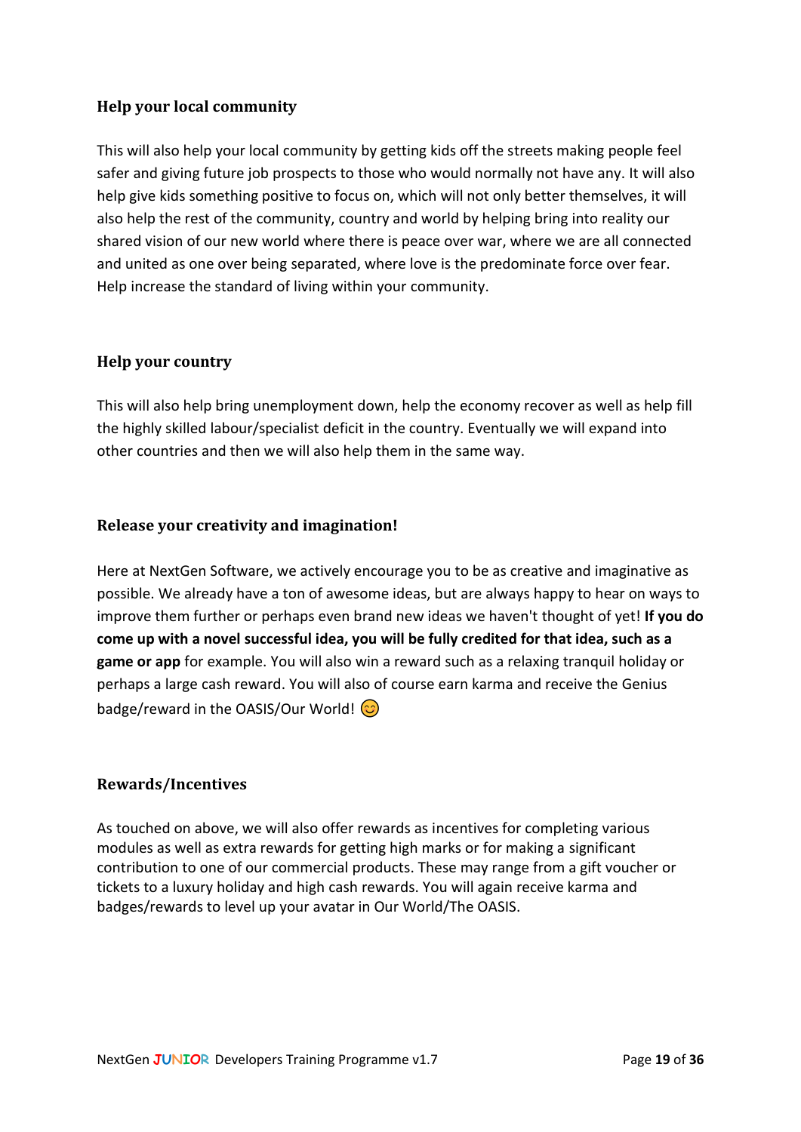## <span id="page-18-0"></span>**Help your local community**

This will also help your local community by getting kids off the streets making people feel safer and giving future job prospects to those who would normally not have any. It will also help give kids something positive to focus on, which will not only better themselves, it will also help the rest of the community, country and world by helping bring into reality our shared vision of our new world where there is peace over war, where we are all connected and united as one over being separated, where love is the predominate force over fear. Help increase the standard of living within your community.

#### <span id="page-18-1"></span>**Help your country**

This will also help bring unemployment down, help the economy recover as well as help fill the highly skilled labour/specialist deficit in the country. Eventually we will expand into other countries and then we will also help them in the same way.

#### <span id="page-18-2"></span>**Release your creativity and imagination!**

Here at NextGen Software, we actively encourage you to be as creative and imaginative as possible. We already have a ton of awesome ideas, but are always happy to hear on ways to improve them further or perhaps even brand new ideas we haven't thought of yet! **If you do come up with a novel successful idea, you will be fully credited for that idea, such as a game or app** for example. You will also win a reward such as a relaxing tranquil holiday or perhaps a large cash reward. You will also of course earn karma and receive the Genius badge/reward in the OASIS/Our World!  $\circled{c}$ 

#### <span id="page-18-3"></span>**Rewards/Incentives**

As touched on above, we will also offer rewards as incentives for completing various modules as well as extra rewards for getting high marks or for making a significant contribution to one of our commercial products. These may range from a gift voucher or tickets to a luxury holiday and high cash rewards. You will again receive karma and badges/rewards to level up your avatar in Our World/The OASIS.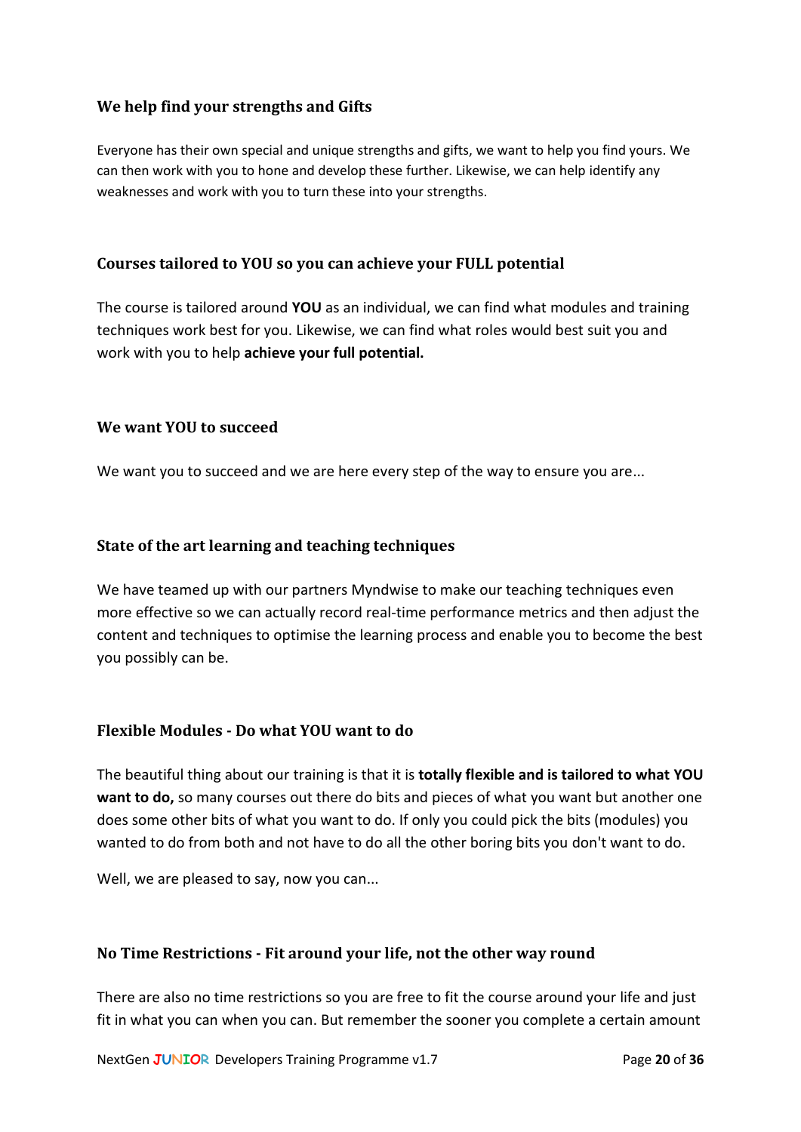## <span id="page-19-0"></span>**We help find your strengths and Gifts**

Everyone has their own special and unique strengths and gifts, we want to help you find yours. We can then work with you to hone and develop these further. Likewise, we can help identify any weaknesses and work with you to turn these into your strengths.

#### <span id="page-19-1"></span>**Courses tailored to YOU so you can achieve your FULL potential**

The course is tailored around **YOU** as an individual, we can find what modules and training techniques work best for you. Likewise, we can find what roles would best suit you and work with you to help **achieve your full potential.**

#### <span id="page-19-2"></span>**We want YOU to succeed**

We want you to succeed and we are here every step of the way to ensure you are...

#### <span id="page-19-3"></span>**State of the art learning and teaching techniques**

We have teamed up with our partners Myndwise to make our teaching techniques even more effective so we can actually record real-time performance metrics and then adjust the content and techniques to optimise the learning process and enable you to become the best you possibly can be.

#### <span id="page-19-4"></span>**Flexible Modules - Do what YOU want to do**

The beautiful thing about our training is that it is **totally flexible and is tailored to what YOU want to do,** so many courses out there do bits and pieces of what you want but another one does some other bits of what you want to do. If only you could pick the bits (modules) you wanted to do from both and not have to do all the other boring bits you don't want to do.

Well, we are pleased to say, now you can...

#### <span id="page-19-5"></span>**No Time Restrictions - Fit around your life, not the other way round**

There are also no time restrictions so you are free to fit the course around your life and just fit in what you can when you can. But remember the sooner you complete a certain amount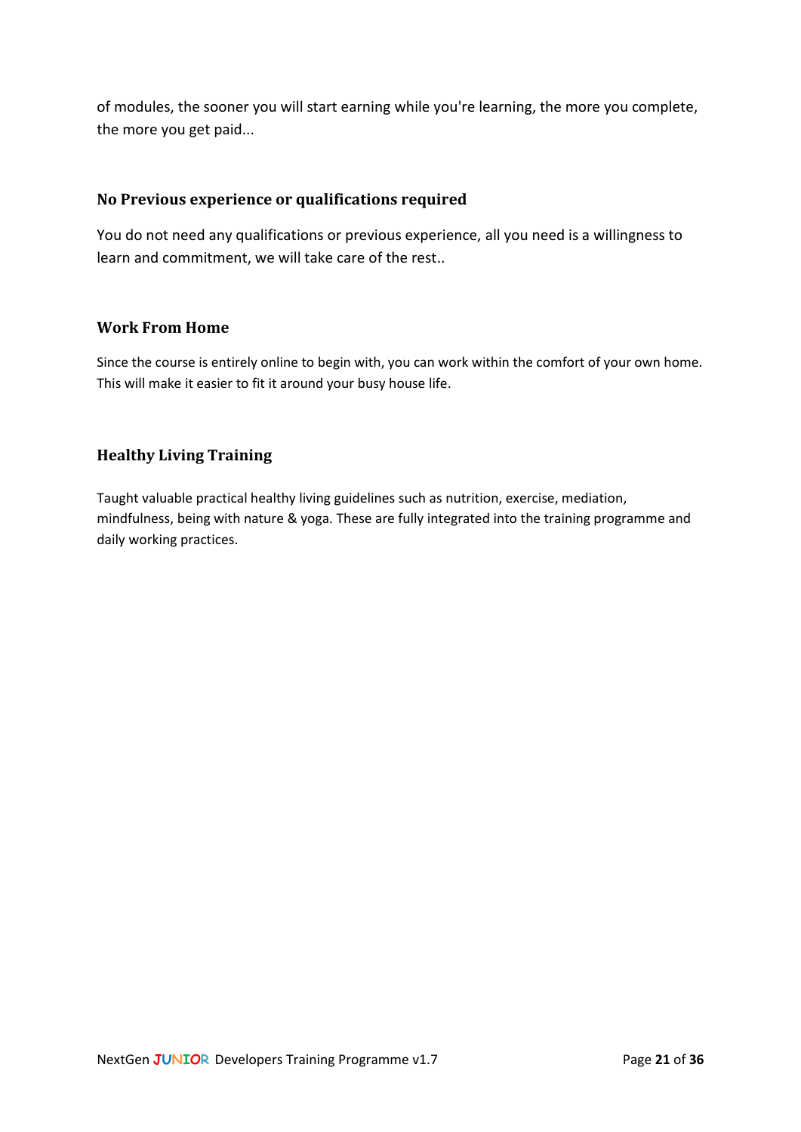of modules, the sooner you will start earning while you're learning, the more you complete, the more you get paid...

#### <span id="page-20-0"></span>**No Previous experience or qualifications required**

You do not need any qualifications or previous experience, all you need is a willingness to learn and commitment, we will take care of the rest..

#### <span id="page-20-1"></span>**Work From Home**

Since the course is entirely online to begin with, you can work within the comfort of your own home. This will make it easier to fit it around your busy house life.

## <span id="page-20-2"></span>**Healthy Living Training**

Taught valuable practical healthy living guidelines such as nutrition, exercise, mediation, mindfulness, being with nature & yoga. These are fully integrated into the training programme and daily working practices.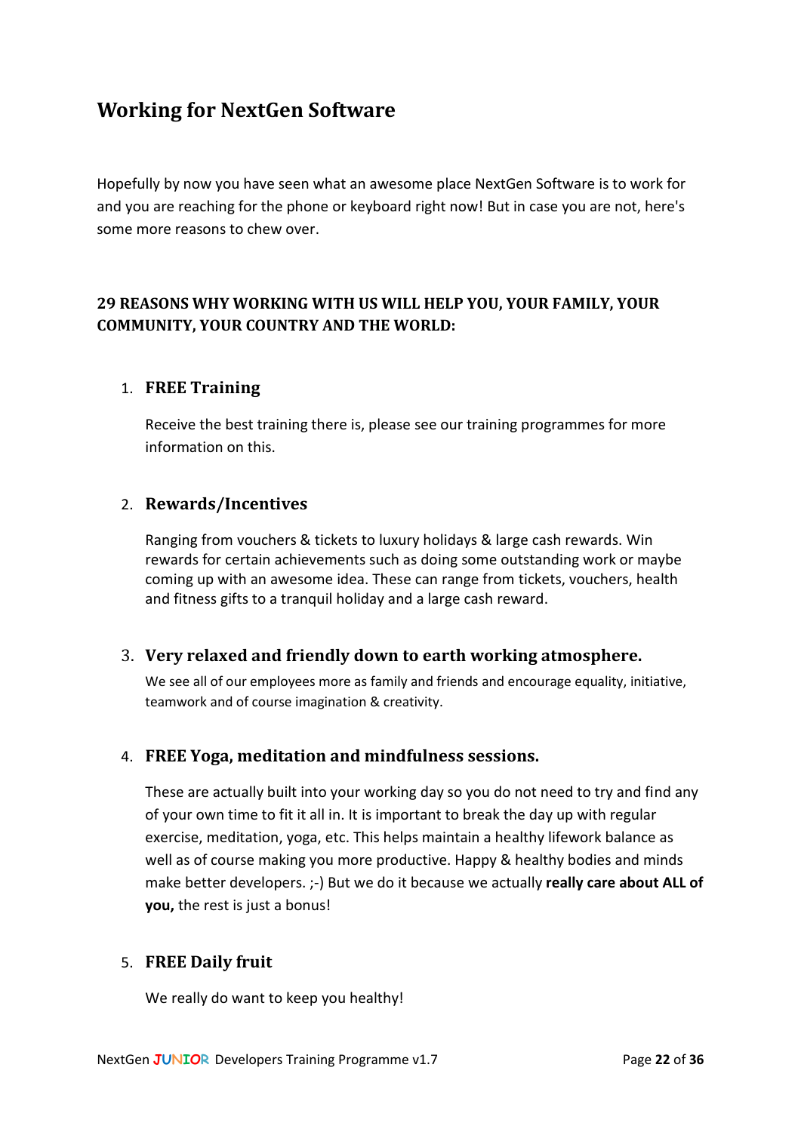## <span id="page-21-0"></span>**Working for NextGen Software**

Hopefully by now you have seen what an awesome place NextGen Software is to work for and you are reaching for the phone or keyboard right now! But in case you are not, here's some more reasons to chew over.

## <span id="page-21-1"></span>**29 REASONS WHY WORKING WITH US WILL HELP YOU, YOUR FAMILY, YOUR COMMUNITY, YOUR COUNTRY AND THE WORLD:**

## <span id="page-21-2"></span>1. **FREE Training**

Receive the best training there is, please see our training programmes for more information on this.

#### <span id="page-21-3"></span>2. **Rewards/Incentives**

Ranging from vouchers & tickets to luxury holidays & large cash rewards. Win rewards for certain achievements such as doing some outstanding work or maybe coming up with an awesome idea. These can range from tickets, vouchers, health and fitness gifts to a tranquil holiday and a large cash reward.

#### <span id="page-21-4"></span>3. **Very relaxed and friendly down to earth working atmosphere.**

We see all of our employees more as family and friends and encourage equality, initiative, teamwork and of course imagination & creativity.

#### <span id="page-21-5"></span>4. **FREE Yoga, meditation and mindfulness sessions.**

These are actually built into your working day so you do not need to try and find any of your own time to fit it all in. It is important to break the day up with regular exercise, meditation, yoga, etc. This helps maintain a healthy lifework balance as well as of course making you more productive. Happy & healthy bodies and minds make better developers. ;-) But we do it because we actually **really care about ALL of you,** the rest is just a bonus!

## <span id="page-21-6"></span>5. **FREE Daily fruit**

We really do want to keep you healthy!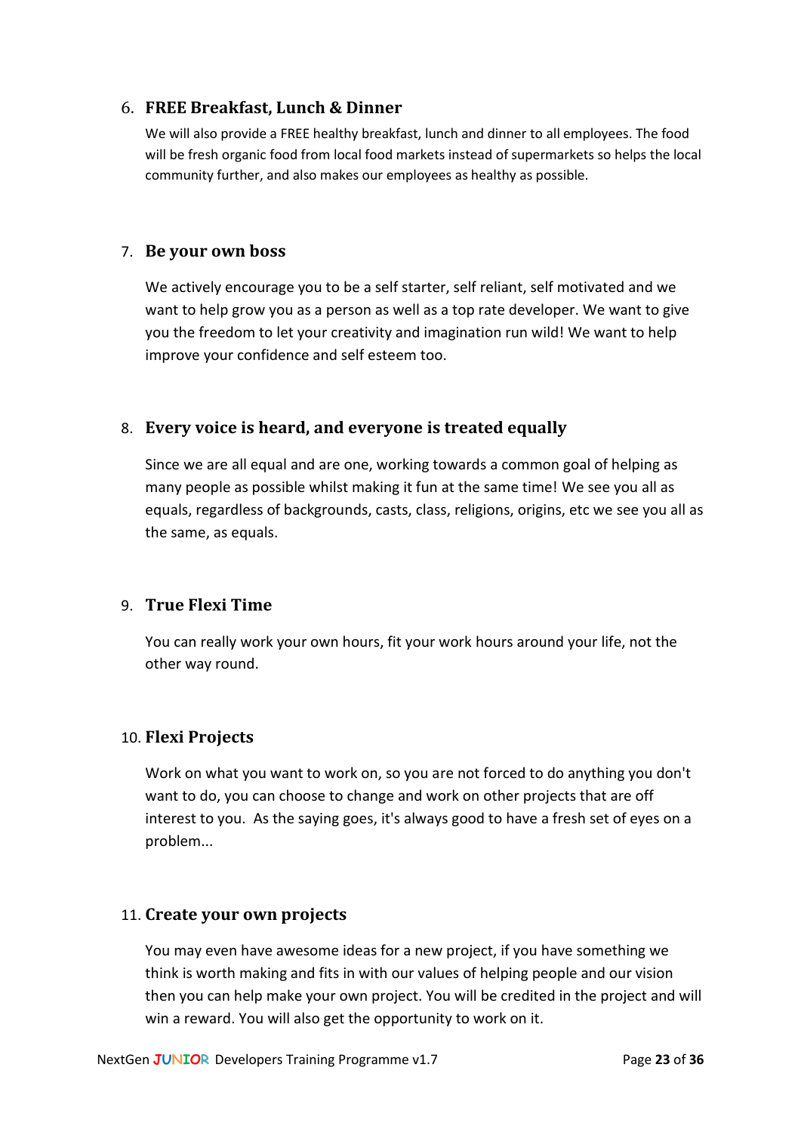#### <span id="page-22-0"></span>6. **FREE Breakfast, Lunch & Dinner**

We will also provide a FREE healthy breakfast, lunch and dinner to all employees. The food will be fresh organic food from local food markets instead of supermarkets so helps the local community further, and also makes our employees as healthy as possible.

#### <span id="page-22-1"></span>7. **Be your own boss**

We actively encourage you to be a self starter, self reliant, self motivated and we want to help grow you as a person as well as a top rate developer. We want to give you the freedom to let your creativity and imagination run wild! We want to help improve your confidence and self esteem too.

#### <span id="page-22-2"></span>8. **Every voice is heard, and everyone is treated equally**

Since we are all equal and are one, working towards a common goal of helping as many people as possible whilst making it fun at the same time! We see you all as equals, regardless of backgrounds, casts, class, religions, origins, etc we see you all as the same, as equals.

#### <span id="page-22-3"></span>9. **True Flexi Time**

You can really work your own hours, fit your work hours around your life, not the other way round.

#### <span id="page-22-4"></span>10. **Flexi Projects**

Work on what you want to work on, so you are not forced to do anything you don't want to do, you can choose to change and work on other projects that are off interest to you. As the saying goes, it's always good to have a fresh set of eyes on a problem...

#### <span id="page-22-5"></span>11. **Create your own projects**

You may even have awesome ideas for a new project, if you have something we think is worth making and fits in with our values of helping people and our vision then you can help make your own project. You will be credited in the project and will win a reward. You will also get the opportunity to work on it.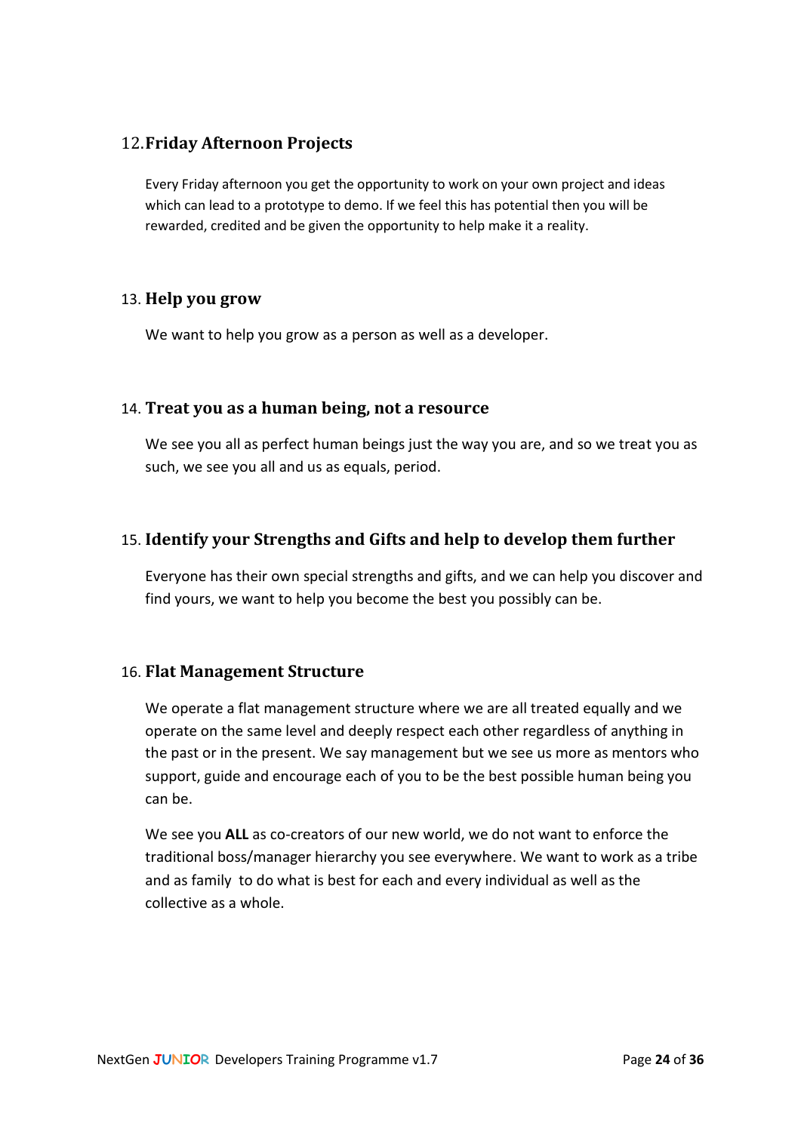## <span id="page-23-0"></span>12.**Friday Afternoon Projects**

Every Friday afternoon you get the opportunity to work on your own project and ideas which can lead to a prototype to demo. If we feel this has potential then you will be rewarded, credited and be given the opportunity to help make it a reality.

#### <span id="page-23-1"></span>13. **Help you grow**

We want to help you grow as a person as well as a developer.

#### <span id="page-23-2"></span>14. **Treat you as a human being, not a resource**

We see you all as perfect human beings just the way you are, and so we treat you as such, we see you all and us as equals, period.

#### <span id="page-23-3"></span>15. **Identify your Strengths and Gifts and help to develop them further**

Everyone has their own special strengths and gifts, and we can help you discover and find yours, we want to help you become the best you possibly can be.

#### <span id="page-23-4"></span>16. **Flat Management Structure**

We operate a flat management structure where we are all treated equally and we operate on the same level and deeply respect each other regardless of anything in the past or in the present. We say management but we see us more as mentors who support, guide and encourage each of you to be the best possible human being you can be.

We see you **ALL** as co-creators of our new world, we do not want to enforce the traditional boss/manager hierarchy you see everywhere. We want to work as a tribe and as family to do what is best for each and every individual as well as the collective as a whole.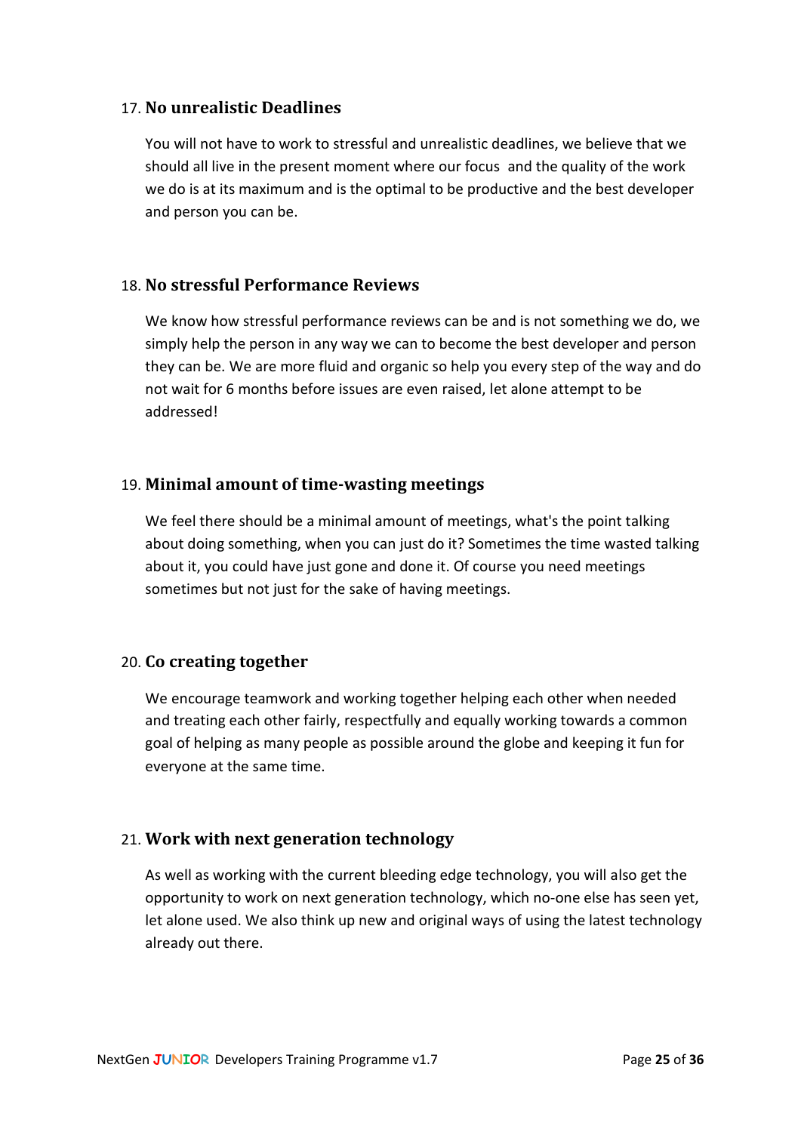#### <span id="page-24-0"></span>17. **No unrealistic Deadlines**

You will not have to work to stressful and unrealistic deadlines, we believe that we should all live in the present moment where our focus and the quality of the work we do is at its maximum and is the optimal to be productive and the best developer and person you can be.

#### <span id="page-24-1"></span>18. **No stressful Performance Reviews**

We know how stressful performance reviews can be and is not something we do, we simply help the person in any way we can to become the best developer and person they can be. We are more fluid and organic so help you every step of the way and do not wait for 6 months before issues are even raised, let alone attempt to be addressed!

#### <span id="page-24-2"></span>19. **Minimal amount of time-wasting meetings**

We feel there should be a minimal amount of meetings, what's the point talking about doing something, when you can just do it? Sometimes the time wasted talking about it, you could have just gone and done it. Of course you need meetings sometimes but not just for the sake of having meetings.

#### <span id="page-24-3"></span>20. **Co creating together**

We encourage teamwork and working together helping each other when needed and treating each other fairly, respectfully and equally working towards a common goal of helping as many people as possible around the globe and keeping it fun for everyone at the same time.

## <span id="page-24-4"></span>21. **Work with next generation technology**

As well as working with the current bleeding edge technology, you will also get the opportunity to work on next generation technology, which no-one else has seen yet, let alone used. We also think up new and original ways of using the latest technology already out there.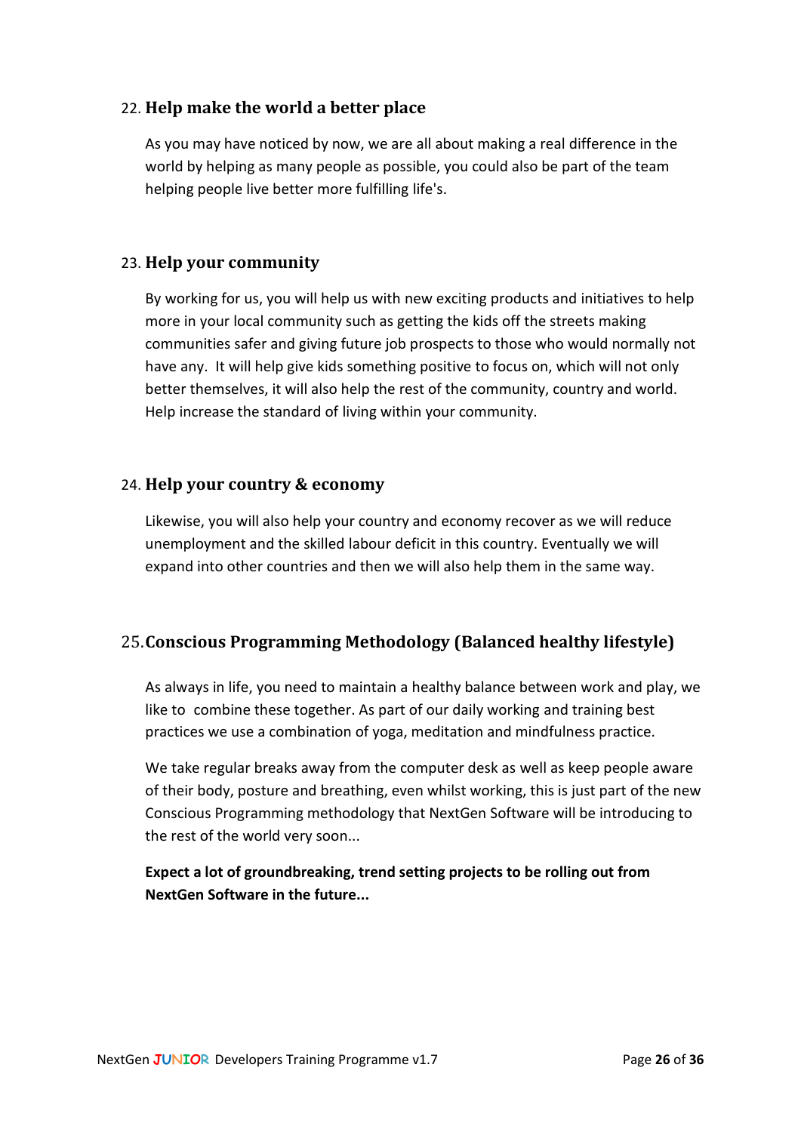## <span id="page-25-0"></span>22. **Help make the world a better place**

As you may have noticed by now, we are all about making a real difference in the world by helping as many people as possible, you could also be part of the team helping people live better more fulfilling life's.

## <span id="page-25-1"></span>23. **Help your community**

By working for us, you will help us with new exciting products and initiatives to help more in your local community such as getting the kids off the streets making communities safer and giving future job prospects to those who would normally not have any. It will help give kids something positive to focus on, which will not only better themselves, it will also help the rest of the community, country and world. Help increase the standard of living within your community.

## <span id="page-25-2"></span>24. **Help your country & economy**

Likewise, you will also help your country and economy recover as we will reduce unemployment and the skilled labour deficit in this country. Eventually we will expand into other countries and then we will also help them in the same way.

## <span id="page-25-3"></span>25.**Conscious Programming Methodology (Balanced healthy lifestyle)**

As always in life, you need to maintain a healthy balance between work and play, we like to combine these together. As part of our daily working and training best practices we use a combination of yoga, meditation and mindfulness practice.

We take regular breaks away from the computer desk as well as keep people aware of their body, posture and breathing, even whilst working, this is just part of the new Conscious Programming methodology that NextGen Software will be introducing to the rest of the world very soon...

**Expect a lot of groundbreaking, trend setting projects to be rolling out from NextGen Software in the future...**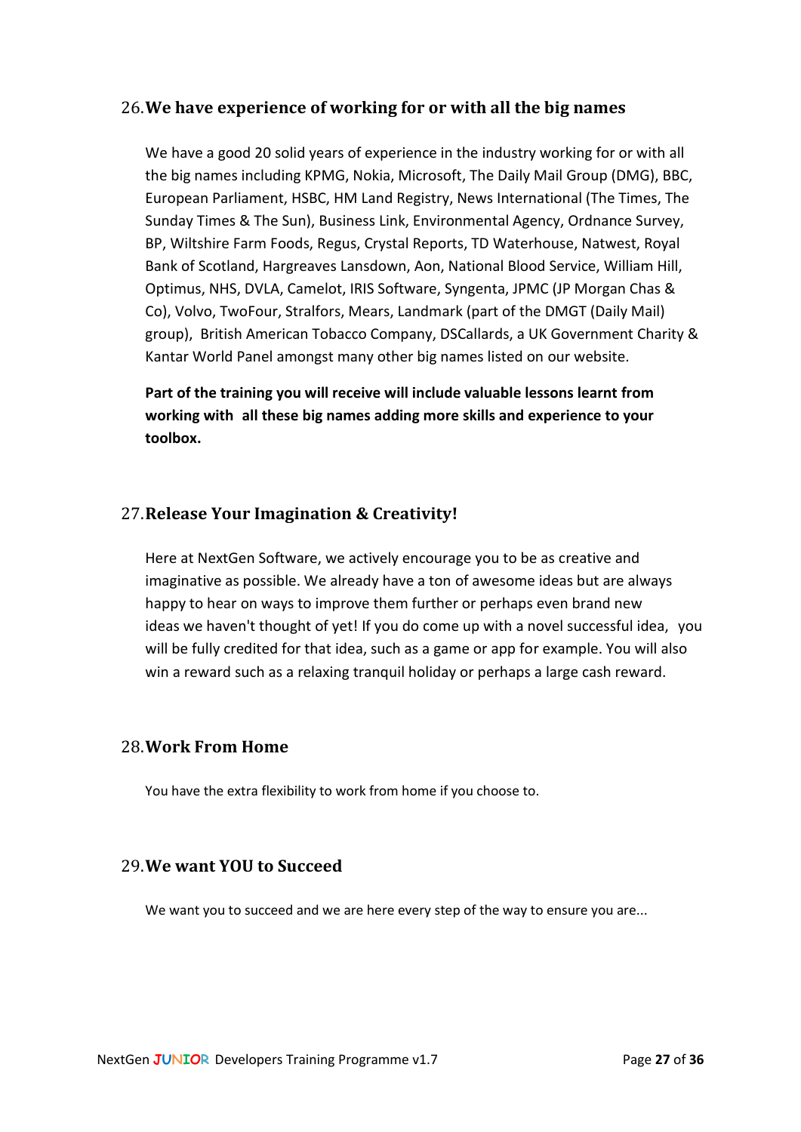#### <span id="page-26-0"></span>26.**We have experience of working for or with all the big names**

We have a good 20 solid years of experience in the industry working for or with all the big names including KPMG, Nokia, Microsoft, The Daily Mail Group (DMG), BBC, European Parliament, HSBC, HM Land Registry, News International (The Times, The Sunday Times & The Sun), Business Link, Environmental Agency, Ordnance Survey, BP, Wiltshire Farm Foods, Regus, Crystal Reports, TD Waterhouse, Natwest, Royal Bank of Scotland, Hargreaves Lansdown, Aon, National Blood Service, William Hill, Optimus, NHS, DVLA, Camelot, IRIS Software, Syngenta, JPMC (JP Morgan Chas & Co), Volvo, TwoFour, Stralfors, Mears, Landmark (part of the DMGT (Daily Mail) group), British American Tobacco Company, DSCallards, a UK Government Charity & Kantar World Panel amongst many other big names listed on our website.

**Part of the training you will receive will include valuable lessons learnt from working with all these big names adding more skills and experience to your toolbox.** 

## <span id="page-26-1"></span>27.**Release Your Imagination & Creativity!**

Here at NextGen Software, we actively encourage you to be as creative and imaginative as possible. We already have a ton of awesome ideas but are always happy to hear on ways to improve them further or perhaps even brand new ideas we haven't thought of yet! If you do come up with a novel successful idea, you will be fully credited for that idea, such as a game or app for example. You will also win a reward such as a relaxing tranquil holiday or perhaps a large cash reward.

#### <span id="page-26-2"></span>28.**Work From Home**

You have the extra flexibility to work from home if you choose to.

#### <span id="page-26-3"></span>29.**We want YOU to Succeed**

We want you to succeed and we are here every step of the way to ensure you are...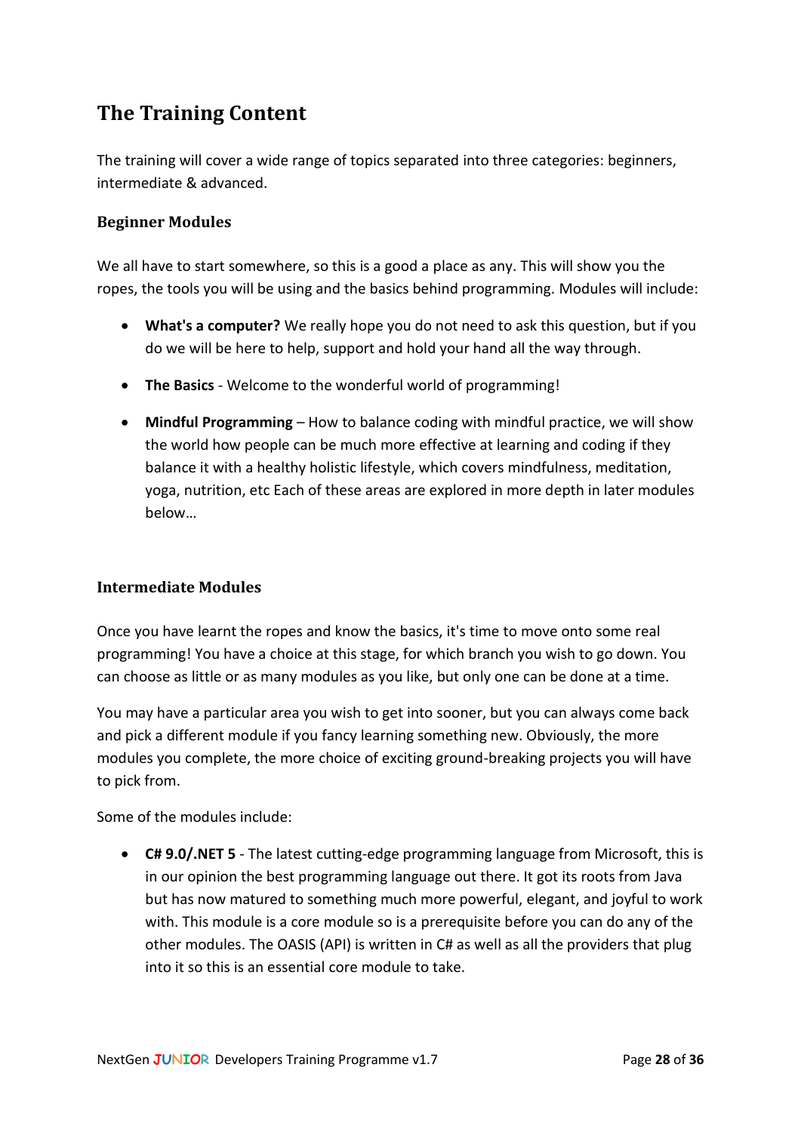# <span id="page-27-0"></span>**The Training Content**

The training will cover a wide range of topics separated into three categories: beginners, intermediate & advanced.

## <span id="page-27-1"></span>**Beginner Modules**

We all have to start somewhere, so this is a good a place as any. This will show you the ropes, the tools you will be using and the basics behind programming. Modules will include:

- **What's a computer?** We really hope you do not need to ask this question, but if you do we will be here to help, support and hold your hand all the way through.
- **The Basics** Welcome to the wonderful world of programming!
- **Mindful Programming**  How to balance coding with mindful practice, we will show the world how people can be much more effective at learning and coding if they balance it with a healthy holistic lifestyle, which covers mindfulness, meditation, yoga, nutrition, etc Each of these areas are explored in more depth in later modules below…

#### <span id="page-27-2"></span>**Intermediate Modules**

Once you have learnt the ropes and know the basics, it's time to move onto some real programming! You have a choice at this stage, for which branch you wish to go down. You can choose as little or as many modules as you like, but only one can be done at a time.

You may have a particular area you wish to get into sooner, but you can always come back and pick a different module if you fancy learning something new. Obviously, the more modules you complete, the more choice of exciting ground-breaking projects you will have to pick from.

Some of the modules include:

• **C# 9.0/.NET 5** - The latest cutting-edge programming language from Microsoft, this is in our opinion the best programming language out there. It got its roots from Java but has now matured to something much more powerful, elegant, and joyful to work with. This module is a core module so is a prerequisite before you can do any of the other modules. The OASIS (API) is written in C# as well as all the providers that plug into it so this is an essential core module to take.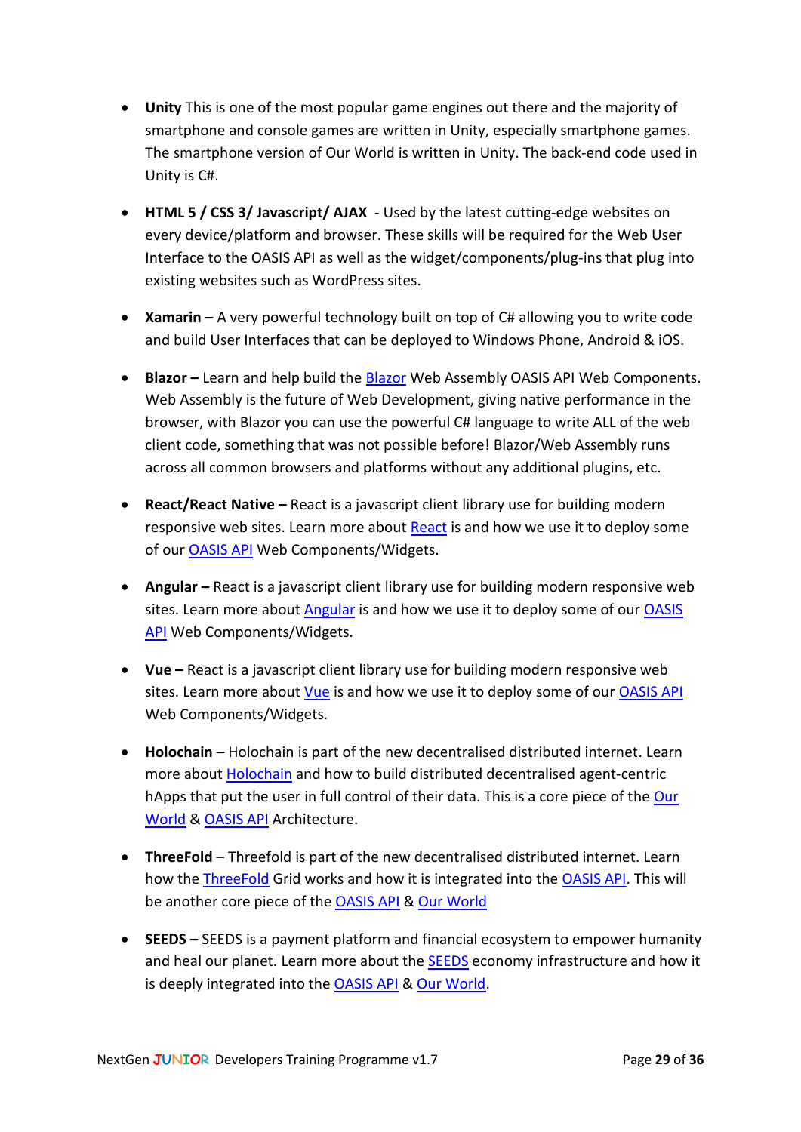- **Unity** This is one of the most popular game engines out there and the majority of smartphone and console games are written in Unity, especially smartphone games. The smartphone version of Our World is written in Unity. The back-end code used in Unity is C#.
- **HTML 5 / CSS 3/ Javascript/ AJAX** Used by the latest cutting-edge websites on every device/platform and browser. These skills will be required for the Web User Interface to the OASIS API as well as the widget/components/plug-ins that plug into existing websites such as WordPress sites.
- **Xamarin –** A very powerful technology built on top of C# allowing you to write code and build User Interfaces that can be deployed to Windows Phone, Android & iOS.
- **Blazor** Learn and help build th[e Blazor](https://dotnet.microsoft.com/apps/aspnet/web-apps/blazor) Web Assembly OASIS API Web Components. Web Assembly is the future of Web Development, giving native performance in the browser, with Blazor you can use the powerful C# language to write ALL of the web client code, something that was not possible before! Blazor/Web Assembly runs across all common browsers and platforms without any additional plugins, etc.
- **React/React Native –** React is a javascript client library use for building modern responsive web sites. Learn more about [React](https://reactjs.org/) is and how we use it to deploy some of our [OASIS API](https://github.com/NextGenSoftwareUK/Our-World-OASIS-API-HoloNET-HoloUnity-And-.NET-HDK) Web Components/Widgets.
- **Angular** React is a javascript client library use for building modern responsive web sites. Learn more about [Angular](https://angular.io/) is and how we use it to deploy some of our OASIS [API](https://github.com/NextGenSoftwareUK/Our-World-OASIS-API-HoloNET-HoloUnity-And-.NET-HDK) Web Components/Widgets.
- **Vue –** React is a javascript client library use for building modern responsive web sites. Learn more about [Vue](https://vuejs.org/) is and how we use it to deploy some of our [OASIS API](https://github.com/NextGenSoftwareUK/Our-World-OASIS-API-HoloNET-HoloUnity-And-.NET-HDK) Web Components/Widgets.
- **Holochain –** Holochain is part of the new decentralised distributed internet. Learn more about [Holochain](https://holochain.org/) and how to build distributed decentralised agent-centric hApps that put the user in full control of their data. This is a core piece of the [Our](http://www.ourworldthegame.com/)  [World](http://www.ourworldthegame.com/) & [OASIS API](https://github.com/NextGenSoftwareUK/Our-World-OASIS-API-HoloNET-HoloUnity-And-.NET-HDK) Architecture.
- **ThreeFold**  Threefold is part of the new decentralised distributed internet. Learn how the [ThreeFold](https://threefold.io/) Grid works and how it is integrated into the [OASIS API.](https://github.com/NextGenSoftwareUK/Our-World-OASIS-API-HoloNET-HoloUnity-And-.NET-HDK) This will be another core piece of the [OASIS API](https://github.com/NextGenSoftwareUK/Our-World-OASIS-API-HoloNET-HoloUnity-And-.NET-HDK) & [Our World](http://www.ourworldthegame.com/)
- **SEEDS –** SEEDS is a payment platform and financial ecosystem to empower humanity and heal our planet. Learn more about the [SEEDS](http://www.joinseeds.com/) economy infrastructure and how it is deeply integrated into the [OASIS API](https://github.com/NextGenSoftwareUK/Our-World-OASIS-API-HoloNET-HoloUnity-And-.NET-HDK) & [Our World.](http://www.ourworldthegame.com/)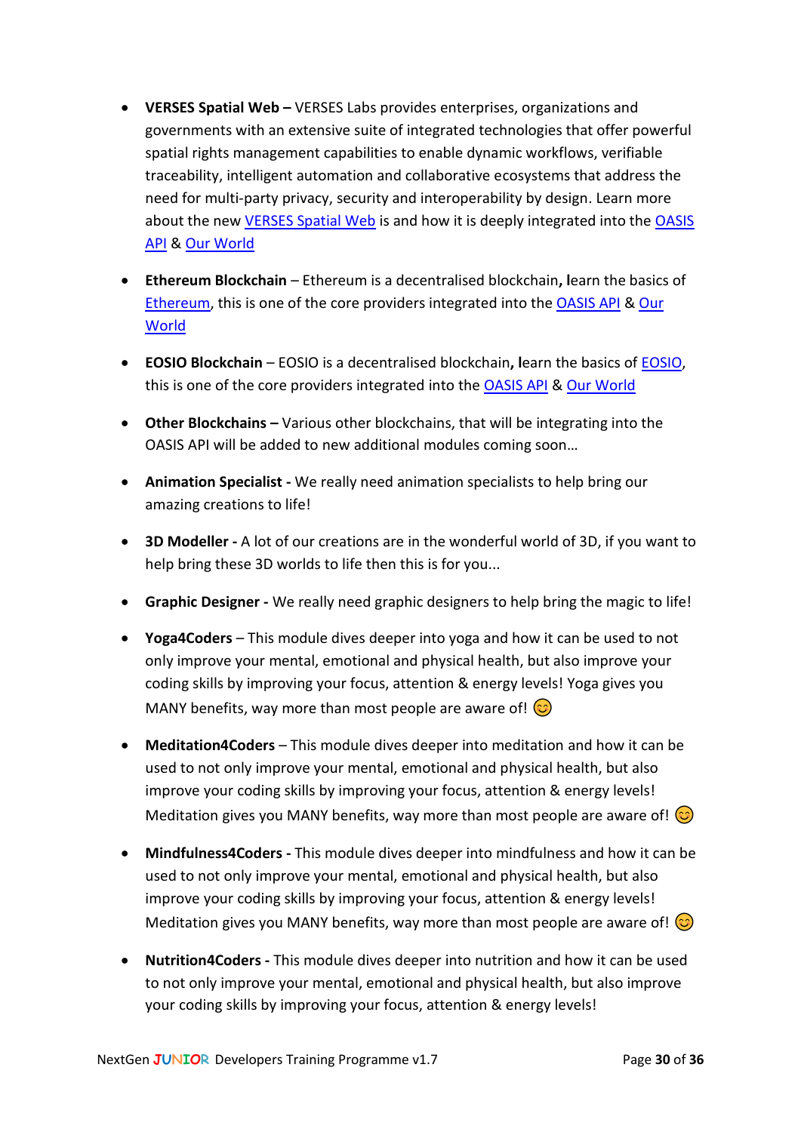- **VERSES Spatial Web –** VERSES Labs provides enterprises, organizations and governments with an extensive suite of integrated technologies that offer powerful spatial rights management capabilities to enable dynamic workflows, verifiable traceability, intelligent automation and collaborative ecosystems that address the need for multi-party privacy, security and interoperability by design. Learn more about the new [VERSES Spatial Web](https://www.verses.io/) is and how it is deeply integrated into the [OASIS](https://github.com/NextGenSoftwareUK/Our-World-OASIS-API-HoloNET-HoloUnity-And-.NET-HDK)  [API](https://github.com/NextGenSoftwareUK/Our-World-OASIS-API-HoloNET-HoloUnity-And-.NET-HDK) & [Our World](http://www.ourworldthegame.com/)
- **Ethereum Blockchain**  Ethereum is a decentralised blockchain**, l**earn the basics of [Ethereum,](https://ethereum.org/en/) this is one of the core providers integrated into th[e OASIS API](https://github.com/NextGenSoftwareUK/Our-World-OASIS-API-HoloNET-HoloUnity-And-.NET-HDK) & [Our](http://www.ourworldthegame.com/)  **[World](http://www.ourworldthegame.com/)**
- **EOSIO Blockchain**  EOSIO is a decentralised blockchain**, l**earn the basics of [EOSIO,](https://eos.io/) this is one of the core providers integrated into th[e OASIS API](https://github.com/NextGenSoftwareUK/Our-World-OASIS-API-HoloNET-HoloUnity-And-.NET-HDK) & [Our World](http://www.ourworldthegame.com/)
- **Other Blockchains –** Various other blockchains, that will be integrating into the OASIS API will be added to new additional modules coming soon…
- **Animation Specialist -** We really need animation specialists to help bring our amazing creations to life!
- **3D Modeller -** A lot of our creations are in the wonderful world of 3D, if you want to help bring these 3D worlds to life then this is for you...
- **Graphic Designer -** We really need graphic designers to help bring the magic to life!
- **Yoga4Coders**  This module dives deeper into yoga and how it can be used to not only improve your mental, emotional and physical health, but also improve your coding skills by improving your focus, attention & energy levels! Yoga gives you MANY benefits, way more than most people are aware of!  $\odot$
- **Meditation4Coders**  This module dives deeper into meditation and how it can be used to not only improve your mental, emotional and physical health, but also improve your coding skills by improving your focus, attention & energy levels! Meditation gives you MANY benefits, way more than most people are aware of!  $\odot$
- **Mindfulness4Coders -** This module dives deeper into mindfulness and how it can be used to not only improve your mental, emotional and physical health, but also improve your coding skills by improving your focus, attention & energy levels! Meditation gives you MANY benefits, way more than most people are aware of!  $\circled{c}$
- **Nutrition4Coders -** This module dives deeper into nutrition and how it can be used to not only improve your mental, emotional and physical health, but also improve your coding skills by improving your focus, attention & energy levels!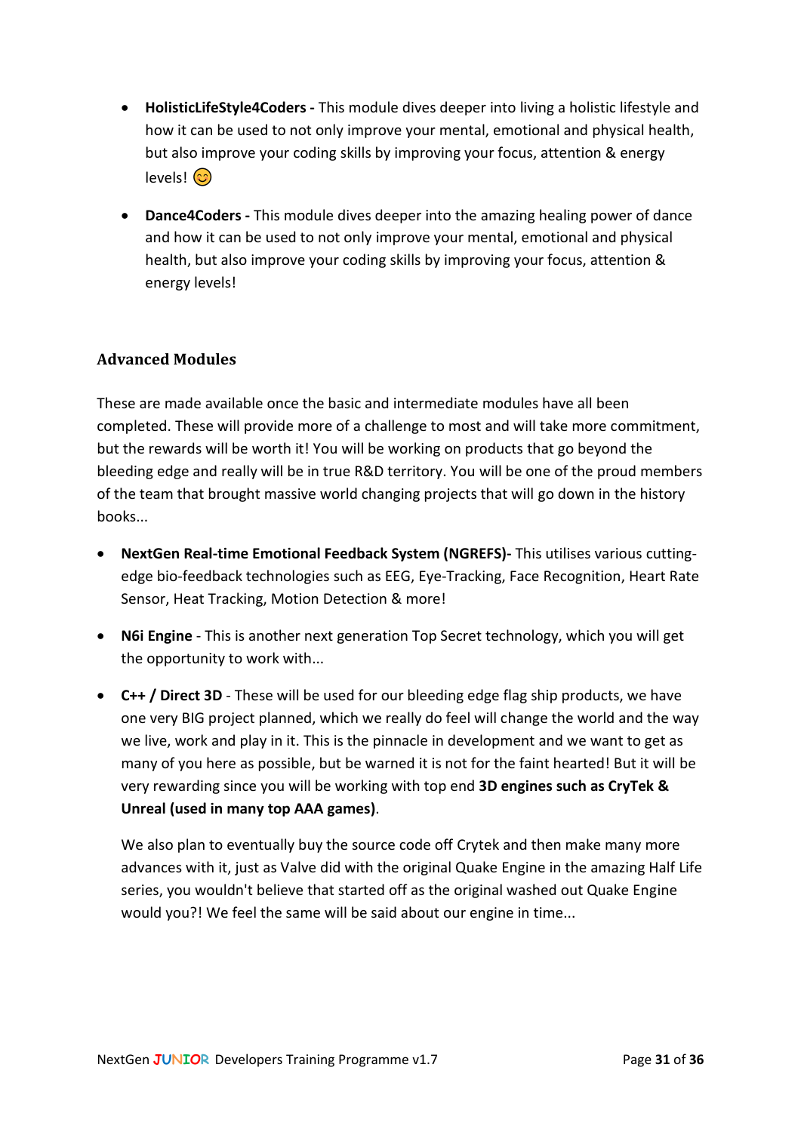- **HolisticLifeStyle4Coders -** This module dives deeper into living a holistic lifestyle and how it can be used to not only improve your mental, emotional and physical health, but also improve your coding skills by improving your focus, attention & energy levels! (හි
- **Dance4Coders -** This module dives deeper into the amazing healing power of dance and how it can be used to not only improve your mental, emotional and physical health, but also improve your coding skills by improving your focus, attention & energy levels!

## <span id="page-30-0"></span>**Advanced Modules**

These are made available once the basic and intermediate modules have all been completed. These will provide more of a challenge to most and will take more commitment, but the rewards will be worth it! You will be working on products that go beyond the bleeding edge and really will be in true R&D territory. You will be one of the proud members of the team that brought massive world changing projects that will go down in the history books...

- **NextGen Real-time Emotional Feedback System (NGREFS)-** This utilises various cuttingedge bio-feedback technologies such as EEG, Eye-Tracking, Face Recognition, Heart Rate Sensor, Heat Tracking, Motion Detection & more!
- **N6i Engine** This is another next generation Top Secret technology, which you will get the opportunity to work with...
- **C++ / Direct 3D** These will be used for our bleeding edge flag ship products, we have one very BIG project planned, which we really do feel will change the world and the way we live, work and play in it. This is the pinnacle in development and we want to get as many of you here as possible, but be warned it is not for the faint hearted! But it will be very rewarding since you will be working with top end **3D engines such as CryTek & Unreal (used in many top AAA games)**.

We also plan to eventually buy the source code off Crytek and then make many more advances with it, just as Valve did with the original Quake Engine in the amazing Half Life series, you wouldn't believe that started off as the original washed out Quake Engine would you?! We feel the same will be said about our engine in time...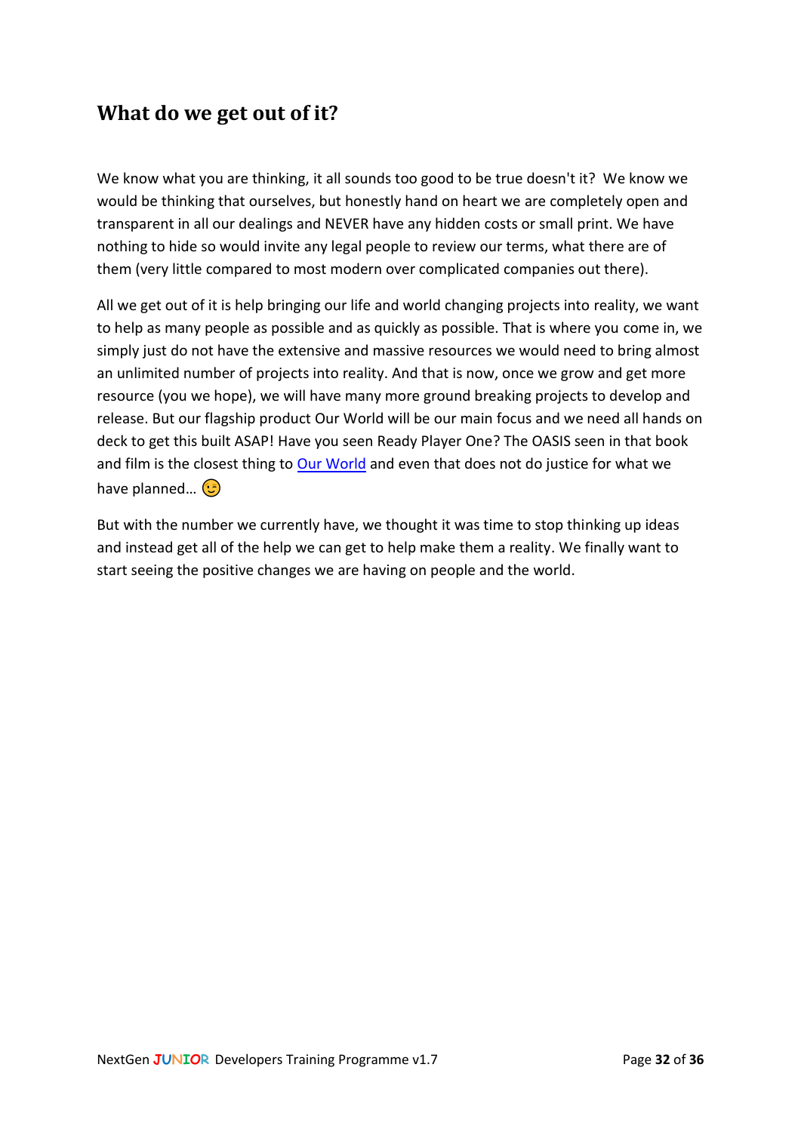## <span id="page-31-0"></span>**What do we get out of it?**

We know what you are thinking, it all sounds too good to be true doesn't it? We know we would be thinking that ourselves, but honestly hand on heart we are completely open and transparent in all our dealings and NEVER have any hidden costs or small print. We have nothing to hide so would invite any legal people to review our terms, what there are of them (very little compared to most modern over complicated companies out there).

All we get out of it is help bringing our life and world changing projects into reality, we want to help as many people as possible and as quickly as possible. That is where you come in, we simply just do not have the extensive and massive resources we would need to bring almost an unlimited number of projects into reality. And that is now, once we grow and get more resource (you we hope), we will have many more ground breaking projects to develop and release. But our flagship product Our World will be our main focus and we need all hands on deck to get this built ASAP! Have you seen Ready Player One? The OASIS seen in that book and film is the closest thing to [Our World](http://www.ourworldthegame.com/) and even that does not do justice for what we have planned... **(B)** 

But with the number we currently have, we thought it was time to stop thinking up ideas and instead get all of the help we can get to help make them a reality. We finally want to start seeing the positive changes we are having on people and the world.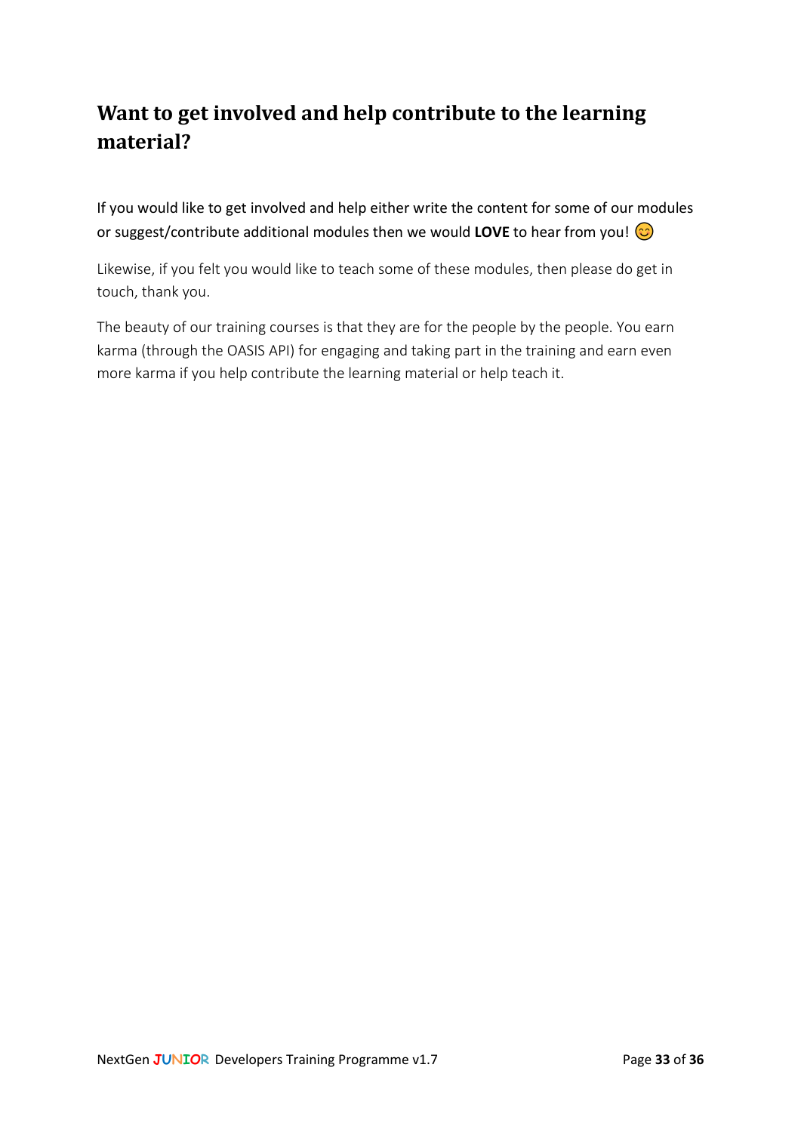# <span id="page-32-0"></span>**Want to get involved and help contribute to the learning material?**

If you would like to get involved and help either write the content for some of our modules or suggest/contribute additional modules then we would **LOVE** to hear from you!

Likewise, if you felt you would like to teach some of these modules, then please do get in touch, thank you.

The beauty of our training courses is that they are for the people by the people. You earn karma (through the OASIS API) for engaging and taking part in the training and earn even more karma if you help contribute the learning material or help teach it.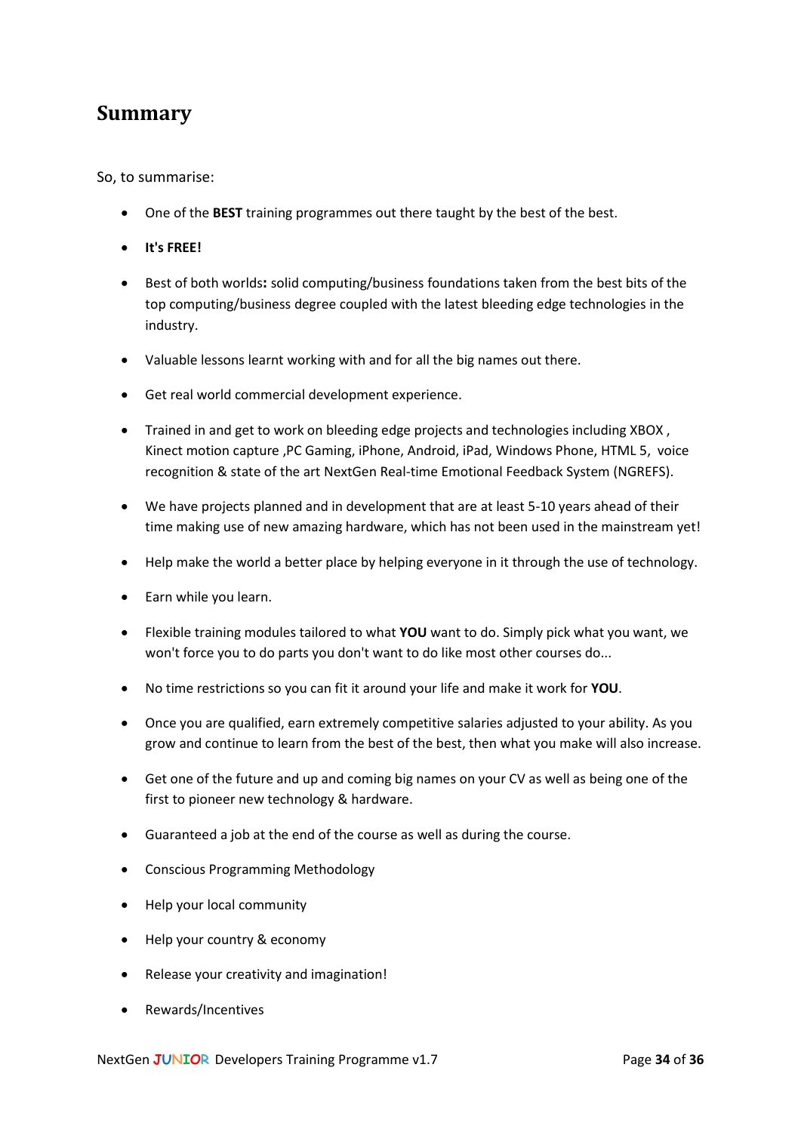## <span id="page-33-0"></span>**Summary**

So, to summarise:

- One of the **BEST** training programmes out there taught by the best of the best.
- **It's FREE!**
- Best of both worlds**:** solid computing/business foundations taken from the best bits of the top computing/business degree coupled with the latest bleeding edge technologies in the industry.
- Valuable lessons learnt working with and for all the big names out there.
- Get real world commercial development experience.
- Trained in and get to work on bleeding edge projects and technologies including XBOX, Kinect motion capture ,PC Gaming, iPhone, Android, iPad, Windows Phone, HTML 5, voice recognition & state of the art NextGen Real-time Emotional Feedback System (NGREFS).
- We have projects planned and in development that are at least 5-10 years ahead of their time making use of new amazing hardware, which has not been used in the mainstream yet!
- Help make the world a better place by helping everyone in it through the use of technology.
- Earn while you learn.
- Flexible training modules tailored to what **YOU** want to do. Simply pick what you want, we won't force you to do parts you don't want to do like most other courses do...
- No time restrictions so you can fit it around your life and make it work for **YOU**.
- Once you are qualified, earn extremely competitive salaries adjusted to your ability. As you grow and continue to learn from the best of the best, then what you make will also increase.
- Get one of the future and up and coming big names on your CV as well as being one of the first to pioneer new technology & hardware.
- Guaranteed a job at the end of the course as well as during the course.
- Conscious Programming Methodology
- Help your local community
- Help your country & economy
- Release your creativity and imagination!
- Rewards/Incentives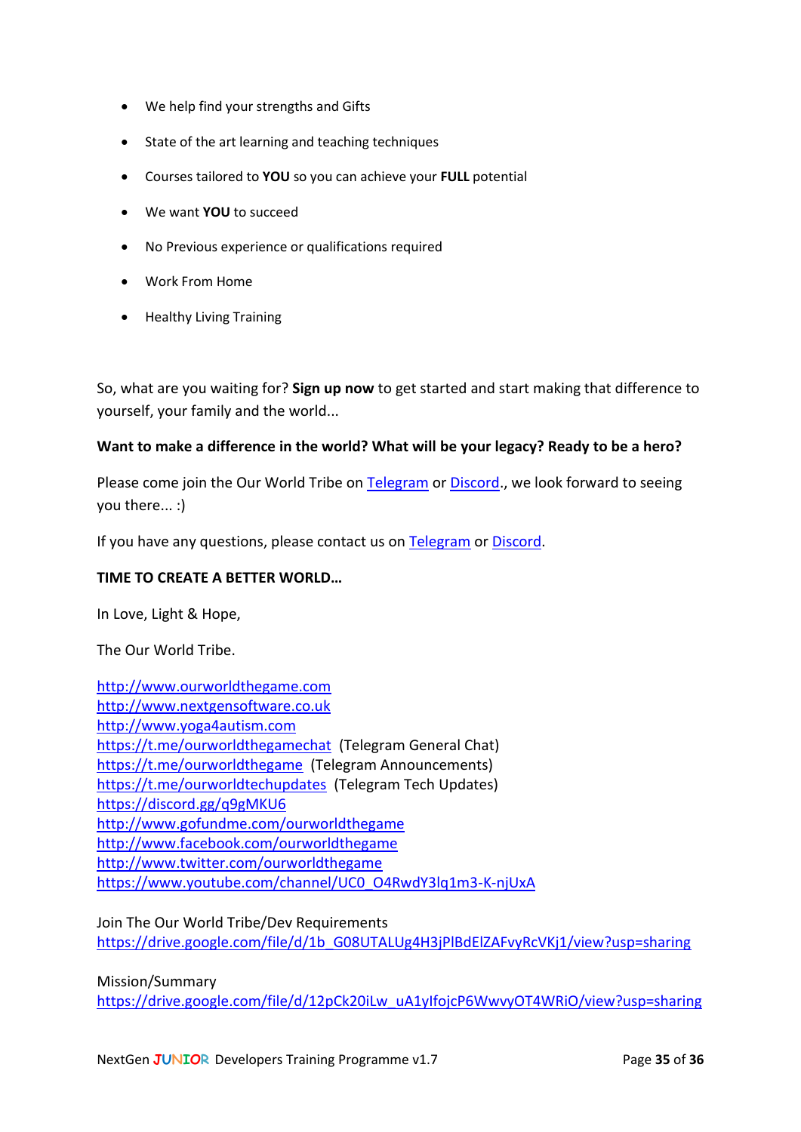- We help find your strengths and Gifts
- State of the art learning and teaching techniques
- Courses tailored to **YOU** so you can achieve your **FULL** potential
- We want **YOU** to succeed
- No Previous experience or qualifications required
- Work From Home
- Healthy Living Training

So, what are you waiting for? **Sign up now** to get started and start making that difference to yourself, your family and the world...

#### **Want to make a difference in the world? What will be your legacy? Ready to be a hero?**

Please come join the Our World Tribe on [Telegram](https://t.me/ourworldthegamechat) o[r Discord.](https://discord.gg/q9gMKU6), we look forward to seeing you there... :)

If you have any questions, please contact us on [Telegram](https://t.me/ourworldthegamechat) or [Discord.](https://discord.gg/q9gMKU6)

#### **TIME TO CREATE A BETTER WORLD…**

In Love, Light & Hope,

The Our World Tribe.

[http://www.ourworldthegame.com](http://www.ourworldthegame.com/) [http://www.nextgensoftware.co.uk](http://www.nextgensoftware.co.uk/) [http://www.yoga4autism.com](http://www.yoga4autism.com/) <https://t.me/ourworldthegamechat> (Telegram General Chat) <https://t.me/ourworldthegame> (Telegram Announcements) <https://t.me/ourworldtechupdates> (Telegram Tech Updates) <https://discord.gg/q9gMKU6> <http://www.gofundme.com/ourworldthegame> <http://www.facebook.com/ourworldthegame> <http://www.twitter.com/ourworldthegame> [https://www.youtube.com/channel/UC0\\_O4RwdY3lq1m3-K-njUxA](https://www.youtube.com/channel/UC0_O4RwdY3lq1m3-K-njUxA)

Join The Our World Tribe/Dev Requirements [https://drive.google.com/file/d/1b\\_G08UTALUg4H3jPlBdElZAFvyRcVKj1/view?usp=sharing](https://drive.google.com/file/d/1b_G08UTALUg4H3jPlBdElZAFvyRcVKj1/view?usp=sharing)

Mission/Summary

[https://drive.google.com/file/d/12pCk20iLw\\_uA1yIfojcP6WwvyOT4WRiO/view?usp=sharing](https://drive.google.com/file/d/12pCk20iLw_uA1yIfojcP6WwvyOT4WRiO/view?usp=sharing)